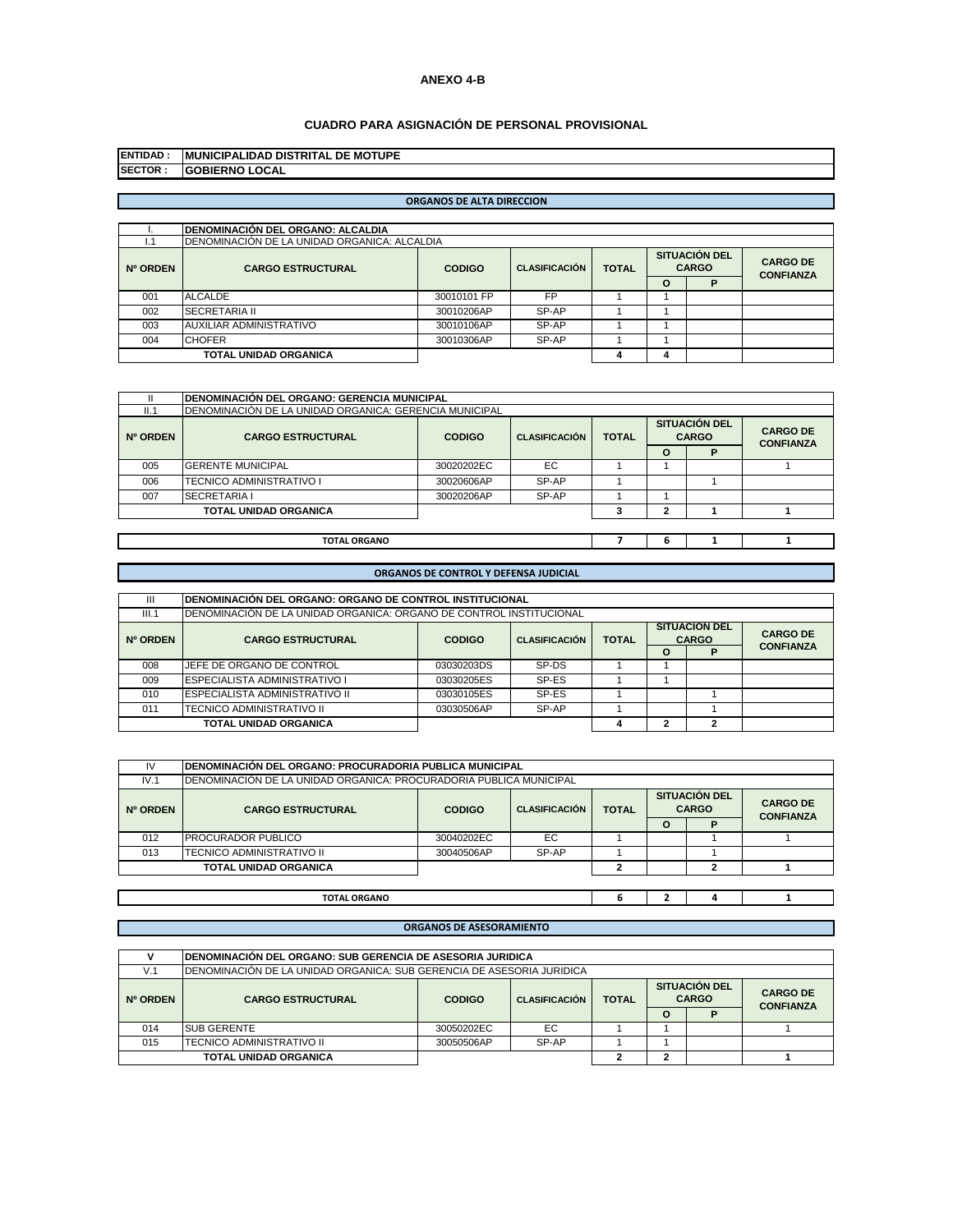# **ANEXO 4-B**

# **CUADRO PARA ASIGNACIÓN DE PERSONAL PROVISIONAL**

| <b>IENTIDAD:</b> | <b>IMUNICIPALIDAD DISTRITAL DE MOTUPE</b> |
|------------------|-------------------------------------------|
| <b>ISECTOR:</b>  | <b>GOBIERNO LOCAL</b>                     |

# **ORGANOS DE ALTA DIRECCION**

|          | <b>IDENOMINACIÓN DEL ORGANO: ALCALDIA</b>     |               |                      |              |                                      |   |                                     |
|----------|-----------------------------------------------|---------------|----------------------|--------------|--------------------------------------|---|-------------------------------------|
| l. 1     | IDENOMINACIÓN DE LA UNIDAD ORGANICA: ALCALDIA |               |                      |              |                                      |   |                                     |
| Nº ORDEN | <b>CARGO ESTRUCTURAL</b>                      | <b>CODIGO</b> | <b>CLASIFICACIÓN</b> | <b>TOTAL</b> | <b>SITUACIÓN DEL</b><br><b>CARGO</b> |   | <b>CARGO DE</b><br><b>CONFIANZA</b> |
|          |                                               |               |                      |              | O                                    | D |                                     |
| 001      | ALCALDE                                       | 30010101 FP   | <b>FP</b>            |              |                                      |   |                                     |
| 002      | <b>SECRETARIA II</b>                          | 30010206AP    | SP-AP                |              |                                      |   |                                     |
| 003      | AUXILIAR ADMINISTRATIVO                       | 30010106AP    | SP-AP                |              |                                      |   |                                     |
| 004      | <b>CHOFER</b>                                 | 30010306AP    | SP-AP                |              |                                      |   |                                     |
|          | <b>TOTAL UNIDAD ORGANICA</b>                  |               |                      |              | $\mathbf{a}$                         |   |                                     |

|          | IDENOMINACIÓN DEL ORGANO: GERENCIA MUNICIPAL           |               |                      |              |                                      |   |                                     |
|----------|--------------------------------------------------------|---------------|----------------------|--------------|--------------------------------------|---|-------------------------------------|
| II.1     | DENOMINACIÓN DE LA UNIDAD ORGANICA: GERENCIA MUNICIPAL |               |                      |              |                                      |   |                                     |
| Nº ORDEN | <b>CARGO ESTRUCTURAL</b>                               | <b>CODIGO</b> | <b>CLASIFICACIÓN</b> | <b>TOTAL</b> | <b>SITUACIÓN DEL</b><br><b>CARGO</b> |   | <b>CARGO DE</b><br><b>CONFIANZA</b> |
|          |                                                        |               |                      |              | O                                    | P |                                     |
| 005      | <b>GERENTE MUNICIPAL</b>                               | 30020202EC    | EC                   |              |                                      |   |                                     |
| 006      | TECNICO ADMINISTRATIVO I                               | 30020606AP    | SP-AP                |              |                                      |   |                                     |
| 007      | <b>SECRETARIA I</b>                                    | 30020206AP    | SP-AP                |              |                                      |   |                                     |
|          | <b>TOTAL UNIDAD ORGANICA</b>                           |               |                      |              | ο.                                   |   |                                     |
|          |                                                        |               |                      |              |                                      |   |                                     |
|          | <b>TOTAL ORGANO</b>                                    |               |                      |              | ь                                    |   |                                     |

# **ORGANOS DE CONTROL Y DEFENSA JUDICIAL**

| Ш        | IDENOMINACIÓN DEL ORGANO: ORGANO DE CONTROL INSTITUCIONAL            |                                                                                  |       |  |  |                      |                  |  |  |
|----------|----------------------------------------------------------------------|----------------------------------------------------------------------------------|-------|--|--|----------------------|------------------|--|--|
| III.1    | IDENOMINACIÓN DE LA UNIDAD ORGANICA: ORGANO DE CONTROL INSTITUCIONAL |                                                                                  |       |  |  |                      |                  |  |  |
|          |                                                                      |                                                                                  |       |  |  | <b>SITUACION DEL</b> | <b>CARGO DE</b>  |  |  |
| Nº ORDEN | <b>CARGO ESTRUCTURAL</b>                                             | <b>CARGO</b><br><b>CLASIFICACIÓN</b><br><b>TOTAL</b><br><b>CODIGO</b><br>$\circ$ |       |  |  |                      |                  |  |  |
|          |                                                                      |                                                                                  |       |  |  | D                    | <b>CONFIANZA</b> |  |  |
| 008      | JEFE DE ORGANO DE CONTROL                                            | 03030203DS                                                                       | SP-DS |  |  |                      |                  |  |  |
| 009      | <b>ESPECIALISTA ADMINISTRATIVO I</b>                                 | 03030205ES                                                                       | SP-ES |  |  |                      |                  |  |  |
| 010      | <b>ESPECIALISTA ADMINISTRATIVO II</b>                                | 03030105ES                                                                       | SP-ES |  |  |                      |                  |  |  |
| 011      | TECNICO ADMINISTRATIVO II                                            | 03030506AP                                                                       | SP-AP |  |  |                      |                  |  |  |
|          | TOTAL UNIDAD ORGANICA                                                |                                                                                  |       |  |  |                      |                  |  |  |

| IV       | IDENOMINACIÓN DEL ORGANO: PROCURADORIA PUBLICA MUNICIPAL            |               |                      |              |  |                                      |                                     |  |  |  |
|----------|---------------------------------------------------------------------|---------------|----------------------|--------------|--|--------------------------------------|-------------------------------------|--|--|--|
| IV.1     | IDENOMINACIÓN DE LA UNIDAD ORGANICA: PROCURADORIA PUBLICA MUNICIPAL |               |                      |              |  |                                      |                                     |  |  |  |
| Nº ORDEN | <b>CARGO ESTRUCTURAL</b>                                            | <b>CODIGO</b> | <b>CLASIFICACIÓN</b> | <b>TOTAL</b> |  | <b>SITUACIÓN DEL</b><br><b>CARGO</b> | <b>CARGO DE</b><br><b>CONFIANZA</b> |  |  |  |
|          |                                                                     |               |                      |              |  | D                                    |                                     |  |  |  |
| 012      | <b>PROCURADOR PUBLICO</b>                                           | 30040202EC    | EC                   |              |  |                                      |                                     |  |  |  |
| 013      | TECNICO ADMINISTRATIVO II                                           | 30040506AP    | SP-AP                |              |  |                                      |                                     |  |  |  |
|          | <b>TOTAL UNIDAD ORGANICA</b>                                        |               |                      | ≘            |  |                                      |                                     |  |  |  |
|          |                                                                     |               |                      |              |  |                                      |                                     |  |  |  |
|          | <b>TOTAL ORGANO</b>                                                 |               |                      | ь            |  |                                      |                                     |  |  |  |

# **ORGANOS DE ASESORAMIENTO**

|          | IDENOMINACIÓN DEL ORGANO: SUB GERENCIA DE ASESORIA JURIDICA            |               |                      |              |                                      |  |                                     |  |  |
|----------|------------------------------------------------------------------------|---------------|----------------------|--------------|--------------------------------------|--|-------------------------------------|--|--|
| V.1      | IDENOMINACIÓN DE LA UNIDAD ORGANICA: SUB GERENCIA DE ASESORIA JURIDICA |               |                      |              |                                      |  |                                     |  |  |
| Nº ORDEN | <b>CARGO ESTRUCTURAL</b>                                               | <b>CODIGO</b> | <b>CLASIFICACIÓN</b> | <b>TOTAL</b> | <b>SITUACIÓN DEL</b><br><b>CARGO</b> |  | <b>CARGO DE</b><br><b>CONFIANZA</b> |  |  |
|          |                                                                        |               |                      |              | Ω                                    |  |                                     |  |  |
| 014      | <b>SUB GERENTE</b>                                                     | 30050202EC    | EC                   |              |                                      |  |                                     |  |  |
| 015      | <b>ITECNICO ADMINISTRATIVO II</b>                                      | 30050506AP    | SP-AP                |              |                                      |  |                                     |  |  |
|          | <b>TOTAL UNIDAD ORGANICA</b>                                           |               |                      |              |                                      |  |                                     |  |  |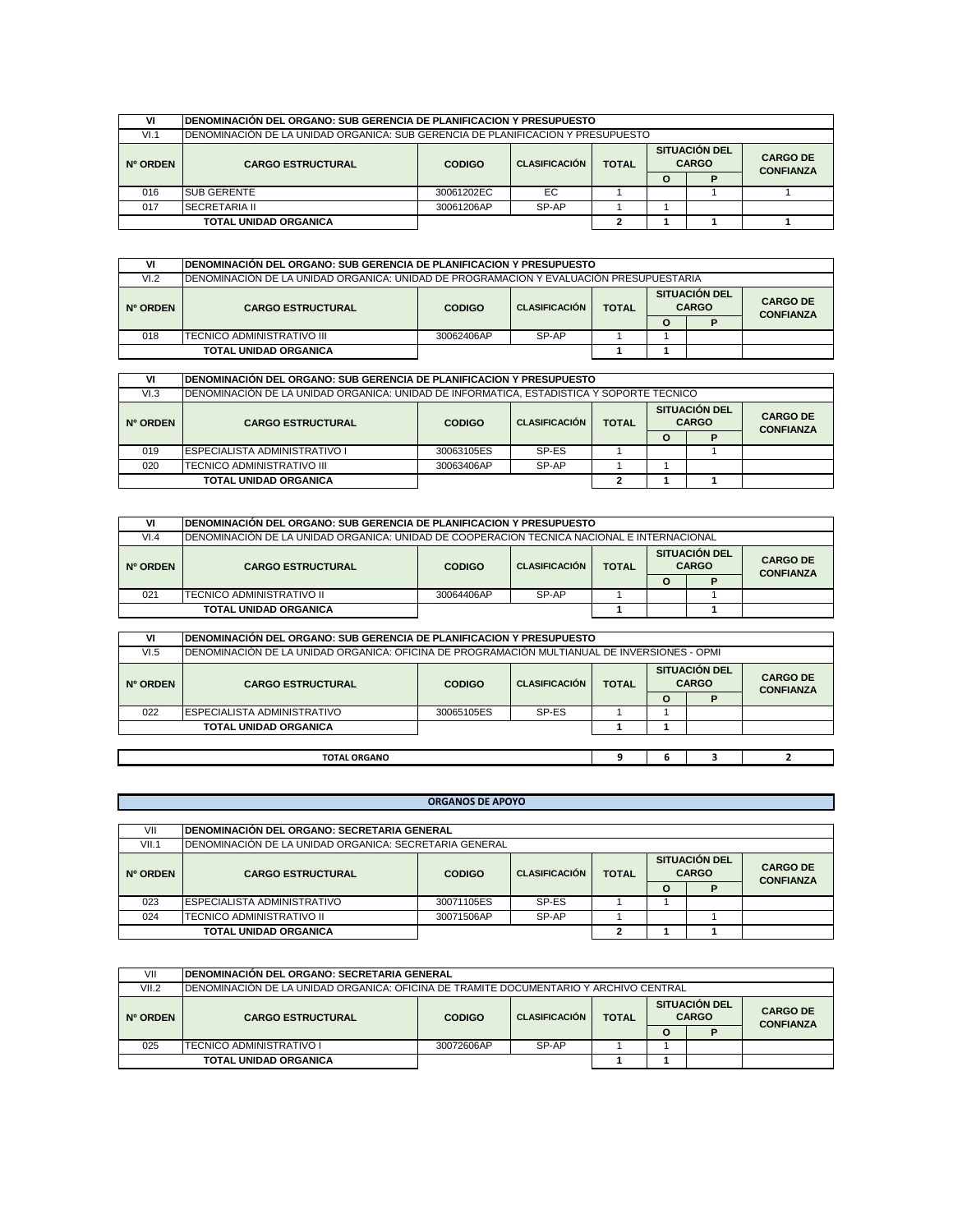| VI       | IDENOMINACIÓN DEL ORGANO: SUB GERENCIA DE PLANIFICACION Y PRESUPUESTO            |               |                      |              |          |                                      |                                     |  |
|----------|----------------------------------------------------------------------------------|---------------|----------------------|--------------|----------|--------------------------------------|-------------------------------------|--|
| VI.1     | IDENOMINACIÓN DE LA UNIDAD ORGANICA: SUB GERENCIA DE PLANIFICACION Y PRESUPUESTO |               |                      |              |          |                                      |                                     |  |
| Nº ORDEN | <b>CARGO ESTRUCTURAL</b>                                                         | <b>CODIGO</b> | <b>CLASIFICACIÓN</b> | <b>TOTAL</b> |          | <b>SITUACIÓN DEL</b><br><b>CARGO</b> | <b>CARGO DE</b><br><b>CONFIANZA</b> |  |
|          |                                                                                  |               |                      |              | $\Omega$ |                                      |                                     |  |
| 016      | <b>SUB GERENTE</b>                                                               | 30061202EC    | EC.                  |              |          |                                      |                                     |  |
| 017      | <b>SECRETARIA II</b>                                                             | 30061206AP    | SP-AP                |              |          |                                      |                                     |  |
|          | <b>TOTAL UNIDAD ORGANICA</b>                                                     |               |                      |              |          |                                      |                                     |  |

| VI                           | IDENOMINACIÓN DEL ORGANO: SUB GERENCIA DE PLANIFICACION Y PRESUPUESTO                   |               |                      |              |                                      |   |                                     |
|------------------------------|-----------------------------------------------------------------------------------------|---------------|----------------------|--------------|--------------------------------------|---|-------------------------------------|
| VI.2                         | IDENOMINACIÓN DE LA UNIDAD ORGANICA: UNIDAD DE PROGRAMACION Y EVALUACIÓN PRESUPUESTARIA |               |                      |              |                                      |   |                                     |
| Nº ORDEN                     | <b>CARGO ESTRUCTURAL</b>                                                                | <b>CODIGO</b> | <b>CLASIFICACIÓN</b> | <b>TOTAL</b> | <b>SITUACIÓN DEL</b><br><b>CARGO</b> |   | <b>CARGO DE</b><br><b>CONFIANZA</b> |
|                              |                                                                                         |               |                      |              |                                      | D |                                     |
| 018                          | TECNICO ADMINISTRATIVO III                                                              | 30062406AP    | SP-AP                |              |                                      |   |                                     |
| <b>TOTAL UNIDAD ORGANICA</b> |                                                                                         |               |                      |              |                                      |   |                                     |

| VI       | IDENOMINACIÓN DEL ORGANO: SUB GERENCIA DE PLANIFICACION Y PRESUPUESTO                     |            |                                      |  |   |                                     |  |  |  |  |
|----------|-------------------------------------------------------------------------------------------|------------|--------------------------------------|--|---|-------------------------------------|--|--|--|--|
| VI.3     | IDENOMINACIÓN DE LA UNIDAD ORGANICA: UNIDAD DE INFORMATICA. ESTADISTICA Y SOPORTE TECNICO |            |                                      |  |   |                                     |  |  |  |  |
| Nº ORDEN | <b>TOTAL</b><br><b>CARGO ESTRUCTURAL</b><br><b>CODIGO</b><br><b>CLASIFICACIÓN</b>         |            | <b>SITUACIÓN DEL</b><br><b>CARGO</b> |  |   | <b>CARGO DE</b><br><b>CONFIANZA</b> |  |  |  |  |
|          |                                                                                           |            |                                      |  | Ο |                                     |  |  |  |  |
| 019      | <b>IESPECIALISTA ADMINISTRATIVO I</b>                                                     | 30063105ES | SP-ES                                |  |   |                                     |  |  |  |  |
| 020      | ITECNICO ADMINISTRATIVO III                                                               | 30063406AP | SP-AP                                |  |   |                                     |  |  |  |  |
|          | <b>TOTAL UNIDAD ORGANICA</b>                                                              |            |                                      |  |   |                                     |  |  |  |  |

| VI       |                                                                                             | IDENOMINACIÓN DEL ORGANO: SUB GERENCIA DE PLANIFICACION Y PRESUPUESTO |                      |              |   |                                      |                                     |  |  |  |  |
|----------|---------------------------------------------------------------------------------------------|-----------------------------------------------------------------------|----------------------|--------------|---|--------------------------------------|-------------------------------------|--|--|--|--|
| VI.4     | IDENOMINACIÓN DE LA UNIDAD ORGANICA: UNIDAD DE COOPERACION TECNICA NACIONAL E INTERNACIONAL |                                                                       |                      |              |   |                                      |                                     |  |  |  |  |
| Nº ORDEN | <b>CARGO ESTRUCTURAL</b>                                                                    | <b>CODIGO</b>                                                         | <b>CLASIFICACIÓN</b> | <b>TOTAL</b> |   | <b>SITUACIÓN DEL</b><br><b>CARGO</b> | <b>CARGO DE</b><br><b>CONFIANZA</b> |  |  |  |  |
|          |                                                                                             |                                                                       |                      |              | O |                                      |                                     |  |  |  |  |
| 021      | ITECNICO ADMINISTRATIVO II                                                                  | 30064406AP                                                            | SP-AP                |              |   |                                      |                                     |  |  |  |  |
|          | <b>TOTAL UNIDAD ORGANICA</b>                                                                |                                                                       |                      |              |   |                                      |                                     |  |  |  |  |

| VI       | IDENOMINACIÓN DEL ORGANO: SUB GERENCIA DE PLANIFICACION Y PRESUPUESTO                         |               |                      |              |         |                                      |                                     |  |  |  |
|----------|-----------------------------------------------------------------------------------------------|---------------|----------------------|--------------|---------|--------------------------------------|-------------------------------------|--|--|--|
| VI.5     | IDENOMINACIÓN DE LA UNIDAD ORGANICA: OFICINA DE PROGRAMACIÓN MULTIANUAL DE INVERSIONES - OPMI |               |                      |              |         |                                      |                                     |  |  |  |
| Nº ORDEN | <b>CARGO ESTRUCTURAL</b>                                                                      | <b>CODIGO</b> | <b>CLASIFICACIÓN</b> | <b>TOTAL</b> |         | <b>SITUACIÓN DEL</b><br><b>CARGO</b> | <b>CARGO DE</b><br><b>CONFIANZA</b> |  |  |  |
|          |                                                                                               |               |                      |              | $\circ$ |                                      |                                     |  |  |  |
| 022      | ESPECIALISTA ADMINISTRATIVO                                                                   | 30065105ES    | SP-ES                |              |         |                                      |                                     |  |  |  |
|          | <b>TOTAL UNIDAD ORGANICA</b>                                                                  |               |                      |              |         |                                      |                                     |  |  |  |
|          |                                                                                               |               |                      |              |         |                                      |                                     |  |  |  |
|          | <b>TOTAL ORGANO</b>                                                                           |               |                      |              |         |                                      |                                     |  |  |  |

|          | <b>ORGANOS DE APOYO</b>                                |               |                      |              |                                      |   |                                     |  |  |  |
|----------|--------------------------------------------------------|---------------|----------------------|--------------|--------------------------------------|---|-------------------------------------|--|--|--|
|          |                                                        |               |                      |              |                                      |   |                                     |  |  |  |
| VII      | IDENOMINACIÓN DEL ORGANO: SECRETARIA GENERAL           |               |                      |              |                                      |   |                                     |  |  |  |
| VII.1    | DENOMINACIÓN DE LA UNIDAD ORGANICA: SECRETARIA GENERAL |               |                      |              |                                      |   |                                     |  |  |  |
| Nº ORDEN | <b>CARGO ESTRUCTURAL</b>                               | <b>CODIGO</b> | <b>CLASIFICACIÓN</b> | <b>TOTAL</b> | <b>SITUACIÓN DEL</b><br><b>CARGO</b> |   | <b>CARGO DE</b><br><b>CONFIANZA</b> |  |  |  |
|          |                                                        |               |                      |              | $\Omega$                             | D |                                     |  |  |  |
| 023      | ESPECIALISTA ADMINISTRATIVO                            | 30071105ES    | SP-ES                |              |                                      |   |                                     |  |  |  |
| 024      | TECNICO ADMINISTRATIVO II                              | 30071506AP    | SP-AP                |              |                                      |   |                                     |  |  |  |
|          | <b>TOTAL UNIDAD ORGANICA</b>                           |               |                      |              |                                      |   |                                     |  |  |  |

| VII             | <b>IDENOMINACIÓN DEL ORGANO: SECRETARIA GENERAL</b>                                    |               |                      |              |   |                                      |                                     |  |  |  |  |
|-----------------|----------------------------------------------------------------------------------------|---------------|----------------------|--------------|---|--------------------------------------|-------------------------------------|--|--|--|--|
| VII.2           | IDENOMINACIÓN DE LA UNIDAD ORGANICA: OFICINA DE TRAMITE DOCUMENTARIO Y ARCHIVO CENTRAL |               |                      |              |   |                                      |                                     |  |  |  |  |
| <b>Nº ORDEN</b> | <b>CARGO ESTRUCTURAL</b>                                                               | <b>CODIGO</b> | <b>CLASIFICACIÓN</b> | <b>TOTAL</b> |   | <b>SITUACIÓN DEL</b><br><b>CARGO</b> | <b>CARGO DE</b><br><b>CONFIANZA</b> |  |  |  |  |
|                 |                                                                                        |               |                      |              | O |                                      |                                     |  |  |  |  |
| 025             | <b>TECNICO ADMINISTRATIVO I</b>                                                        | 30072606AP    | SP-AP                |              |   |                                      |                                     |  |  |  |  |
|                 | <b>TOTAL UNIDAD ORGANICA</b>                                                           |               |                      |              |   |                                      |                                     |  |  |  |  |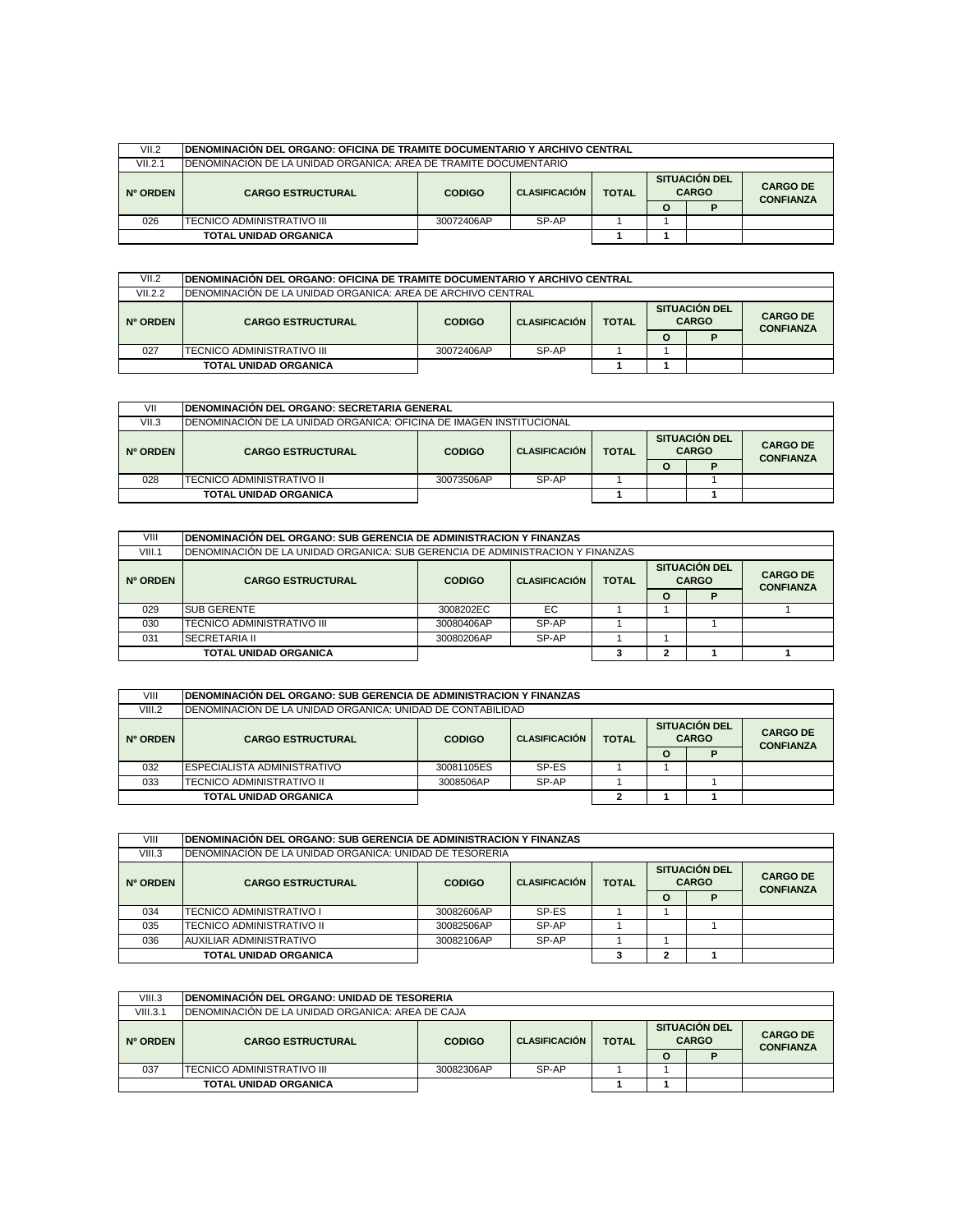| VII.2    |                                                                   | IDENOMINACIÓN DEL ORGANO: OFICINA DE TRAMITE DOCUMENTARIO Y ARCHIVO CENTRAL |                      |              |                                      |  |                                     |  |  |  |  |
|----------|-------------------------------------------------------------------|-----------------------------------------------------------------------------|----------------------|--------------|--------------------------------------|--|-------------------------------------|--|--|--|--|
| VII.2.1  | IDENOMINACIÓN DE LA UNIDAD ORGANICA: AREA DE TRAMITE DOCUMENTARIO |                                                                             |                      |              |                                      |  |                                     |  |  |  |  |
| Nº ORDEN | <b>CARGO ESTRUCTURAL</b>                                          | <b>CODIGO</b>                                                               | <b>CLASIFICACIÓN</b> | <b>TOTAL</b> | <b>SITUACION DEL</b><br><b>CARGO</b> |  | <b>CARGO DE</b><br><b>CONFIANZA</b> |  |  |  |  |
|          |                                                                   |                                                                             |                      |              | O                                    |  |                                     |  |  |  |  |
| 026      | <b>ITECNICO ADMINISTRATIVO III</b>                                | 30072406AP                                                                  | SP-AP                |              |                                      |  |                                     |  |  |  |  |
|          | <b>TOTAL UNIDAD ORGANICA</b>                                      |                                                                             |                      |              |                                      |  |                                     |  |  |  |  |

| VII.2    | <b>IDENOMINACIÓN DEL ORGANO: OFICINA DE TRAMITE DOCUMENTARIO Y ARCHIVO CENTRAL</b>                                        |                     |  |  |   |   |                  |  |  |  |
|----------|---------------------------------------------------------------------------------------------------------------------------|---------------------|--|--|---|---|------------------|--|--|--|
| VII.2.2  | <b>IDENOMINACIÓN DE LA UNIDAD ORGANICA: AREA DE ARCHIVO CENTRAL</b>                                                       |                     |  |  |   |   |                  |  |  |  |
| Nº ORDEN | <b>SITUACION DEL</b><br><b>CARGO</b><br><b>TOTAL</b><br><b>CLASIFICACIÓN</b><br><b>CARGO ESTRUCTURAL</b><br><b>CODIGO</b> |                     |  |  |   |   |                  |  |  |  |
|          |                                                                                                                           |                     |  |  | O | D | <b>CONFIANZA</b> |  |  |  |
| 027      | TECNICO ADMINISTRATIVO III                                                                                                | SP-AP<br>30072406AP |  |  |   |   |                  |  |  |  |
|          | <b>TOTAL UNIDAD ORGANICA</b>                                                                                              |                     |  |  |   |   |                  |  |  |  |

| VII      | IDENOMINACIÓN DEL ORGANO: SECRETARIA GENERAL                         |               |                      |              |                                      |                                     |  |  |  |  |
|----------|----------------------------------------------------------------------|---------------|----------------------|--------------|--------------------------------------|-------------------------------------|--|--|--|--|
| VII.3    | IDENOMINACIÓN DE LA UNIDAD ORGANICA: OFICINA DE IMAGEN INSTITUCIONAL |               |                      |              |                                      |                                     |  |  |  |  |
| Nº ORDEN | <b>CARGO ESTRUCTURAL</b>                                             | <b>CODIGO</b> | <b>CLASIFICACIÓN</b> | <b>TOTAL</b> | <b>SITUACIÓN DEL</b><br><b>CARGO</b> | <b>CARGO DE</b><br><b>CONFIANZA</b> |  |  |  |  |
|          |                                                                      |               |                      |              | Ω                                    |                                     |  |  |  |  |
| 028      | TECNICO ADMINISTRATIVO II                                            | 30073506AP    | SP-AP                |              |                                      |                                     |  |  |  |  |
|          | TOTAL UNIDAD ORGANICA                                                |               |                      |              |                                      |                                     |  |  |  |  |

| VIII     | IDENOMINACIÓN DEL ORGANO: SUB GERENCIA DE ADMINISTRACION Y FINANZAS            |                     |                      |              |                                      |                                     |  |  |  |  |
|----------|--------------------------------------------------------------------------------|---------------------|----------------------|--------------|--------------------------------------|-------------------------------------|--|--|--|--|
| VIII.1   | IDENOMINACIÓN DE LA UNIDAD ORGANICA: SUB GERENCIA DE ADMINISTRACION Y FINANZAS |                     |                      |              |                                      |                                     |  |  |  |  |
| Nº ORDEN | <b>CARGO ESTRUCTURAL</b>                                                       | <b>CODIGO</b>       | <b>CLASIFICACIÓN</b> | <b>TOTAL</b> | <b>SITUACIÓN DEL</b><br><b>CARGO</b> | <b>CARGO DE</b><br><b>CONFIANZA</b> |  |  |  |  |
|          |                                                                                |                     |                      |              | Ο                                    |                                     |  |  |  |  |
| 029      | <b>SUB GERENTE</b>                                                             | 3008202EC           | EC                   |              |                                      |                                     |  |  |  |  |
| 030      | <b>TECNICO ADMINISTRATIVO III</b>                                              | 30080406AP          | SP-AP                |              |                                      |                                     |  |  |  |  |
| 031      | <b>SECRETARIA II</b>                                                           | SP-AP<br>30080206AP |                      |              |                                      |                                     |  |  |  |  |
|          | <b>TOTAL UNIDAD ORGANICA</b>                                                   |                     |                      |              |                                      |                                     |  |  |  |  |

| VIII     | IDENOMINACIÓN DEL ORGANO: SUB GERENCIA DE ADMINISTRACION Y FINANZAS |                                                                                               |       |  |          |  |                                     |  |  |  |
|----------|---------------------------------------------------------------------|-----------------------------------------------------------------------------------------------|-------|--|----------|--|-------------------------------------|--|--|--|
| VIII.2   | IDENOMINACIÓN DE LA UNIDAD ORGANICA: UNIDAD DE CONTABILIDAD         |                                                                                               |       |  |          |  |                                     |  |  |  |
| Nº ORDEN | <b>CARGO ESTRUCTURAL</b>                                            | <b>SITUACIÓN DEL</b><br><b>CARGO</b><br><b>TOTAL</b><br><b>CODIGO</b><br><b>CLASIFICACIÓN</b> |       |  |          |  | <b>CARGO DE</b><br><b>CONFIANZA</b> |  |  |  |
|          |                                                                     |                                                                                               |       |  | $\Omega$ |  |                                     |  |  |  |
| 032      | <b>IESPECIALISTA ADMINISTRATIVO</b>                                 | 30081105ES                                                                                    | SP-ES |  |          |  |                                     |  |  |  |
| 033      | TECNICO ADMINISTRATIVO II                                           | 3008506AP                                                                                     | SP-AP |  |          |  |                                     |  |  |  |
|          | <b>TOTAL UNIDAD ORGANICA</b>                                        |                                                                                               |       |  |          |  |                                     |  |  |  |

| VIII     | IDENOMINACIÓN DEL ORGANO: SUB GERENCIA DE ADMINISTRACION Y FINANZAS |                                                                                               |       |  |          |  |                                     |  |  |  |
|----------|---------------------------------------------------------------------|-----------------------------------------------------------------------------------------------|-------|--|----------|--|-------------------------------------|--|--|--|
|          |                                                                     |                                                                                               |       |  |          |  |                                     |  |  |  |
| VIII.3   | IDENOMINACIÓN DE LA UNIDAD ORGANICA: UNIDAD DE TESORERIA            |                                                                                               |       |  |          |  |                                     |  |  |  |
| Nº ORDEN | <b>CARGO ESTRUCTURAL</b>                                            | <b>SITUACIÓN DEL</b><br><b>CARGO</b><br><b>TOTAL</b><br><b>CLASIFICACIÓN</b><br><b>CODIGO</b> |       |  |          |  | <b>CARGO DE</b><br><b>CONFIANZA</b> |  |  |  |
|          |                                                                     |                                                                                               |       |  | $\Omega$ |  |                                     |  |  |  |
| 034      | TECNICO ADMINISTRATIVO I                                            | 30082606AP                                                                                    | SP-ES |  |          |  |                                     |  |  |  |
| 035      | TECNICO ADMINISTRATIVO II                                           | 30082506AP                                                                                    | SP-AP |  |          |  |                                     |  |  |  |
| 036      | AUXILIAR ADMINISTRATIVO                                             | SP-AP<br>30082106AP                                                                           |       |  |          |  |                                     |  |  |  |
|          | <b>TOTAL UNIDAD ORGANICA</b>                                        |                                                                                               |       |  |          |  |                                     |  |  |  |

| VIII.3   | <b>IDENOMINACIÓN DEL ORGANO: UNIDAD DE TESORERIA</b> |               |                      |              |   |                                      |                                     |  |  |  |
|----------|------------------------------------------------------|---------------|----------------------|--------------|---|--------------------------------------|-------------------------------------|--|--|--|
| VIII.3.1 | IDENOMINACIÓN DE LA UNIDAD ORGANICA: AREA DE CAJA    |               |                      |              |   |                                      |                                     |  |  |  |
| Nº ORDEN | <b>CARGO ESTRUCTURAL</b>                             | <b>CODIGO</b> | <b>CLASIFICACIÓN</b> | <b>TOTAL</b> |   | <b>SITUACIÓN DEL</b><br><b>CARGO</b> | <b>CARGO DE</b><br><b>CONFIANZA</b> |  |  |  |
|          |                                                      |               |                      |              | Ω |                                      |                                     |  |  |  |
| 037      | ITECNICO ADMINISTRATIVO III                          | 30082306AP    | SP-AP                |              |   |                                      |                                     |  |  |  |
|          | <b>TOTAL UNIDAD ORGANICA</b>                         |               |                      |              |   |                                      |                                     |  |  |  |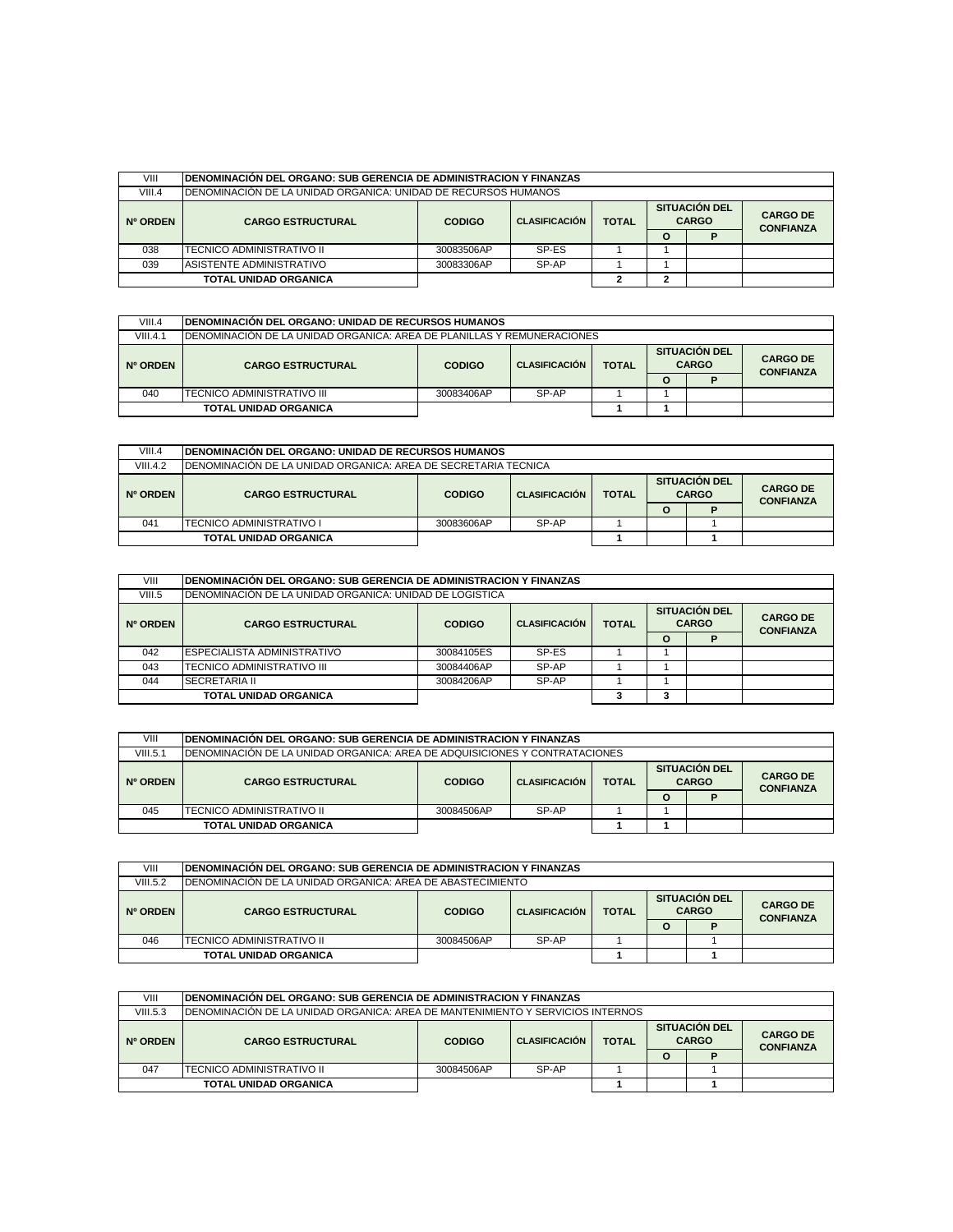| VIII     | IDENOMINACIÓN DEL ORGANO: SUB GERENCIA DE ADMINISTRACION Y FINANZAS |                                                                               |       |  |   |  |                                     |  |  |  |
|----------|---------------------------------------------------------------------|-------------------------------------------------------------------------------|-------|--|---|--|-------------------------------------|--|--|--|
| VIII.4   | IDENOMINACIÓN DE LA UNIDAD ORGANICA: UNIDAD DE RECURSOS HUMANOS     |                                                                               |       |  |   |  |                                     |  |  |  |
| Nº ORDEN | <b>CARGO ESTRUCTURAL</b>                                            | <b>SITUACION DEL</b><br><b>TOTAL</b><br><b>CODIGO</b><br><b>CLASIFICACIÓN</b> |       |  |   |  | <b>CARGO DE</b><br><b>CONFIANZA</b> |  |  |  |
|          |                                                                     |                                                                               |       |  | O |  |                                     |  |  |  |
| 038      | ITECNICO ADMINISTRATIVO II                                          | 30083506AP                                                                    | SP-ES |  |   |  |                                     |  |  |  |
| 039      | ASISTENTE ADMINISTRATIVO                                            | 30083306AP                                                                    | SP-AP |  |   |  |                                     |  |  |  |
|          | <b>TOTAL UNIDAD ORGANICA</b>                                        |                                                                               |       |  |   |  |                                     |  |  |  |

| VIII.4   | <b>IDENOMINACIÓN DEL ORGANO: UNIDAD DE RECURSOS HUMANOS</b>             |               |                      |              |  |                                      |                                     |  |  |  |
|----------|-------------------------------------------------------------------------|---------------|----------------------|--------------|--|--------------------------------------|-------------------------------------|--|--|--|
| VIII.4.1 | IDENOMINACIÓN DE LA UNIDAD ORGANICA: AREA DE PLANILLAS Y REMUNERACIONES |               |                      |              |  |                                      |                                     |  |  |  |
| Nº ORDEN | <b>CARGO ESTRUCTURAL</b>                                                | <b>CODIGO</b> | <b>CLASIFICACIÓN</b> | <b>TOTAL</b> |  | <b>SITUACIÓN DEL</b><br><b>CARGO</b> | <b>CARGO DE</b><br><b>CONFIANZA</b> |  |  |  |
|          |                                                                         | $\circ$       |                      |              |  |                                      |                                     |  |  |  |
| 040      | TECNICO ADMINISTRATIVO III                                              | 30083406AP    | SP-AP                |              |  |                                      |                                     |  |  |  |
|          | <b>TOTAL UNIDAD ORGANICA</b>                                            |               |                      |              |  |                                      |                                     |  |  |  |

| VIII.4   | <b>IDENOMINACIÓN DEL ORGANO: UNIDAD DE RECURSOS HUMANOS</b>     |               |                      |              |   |                                      |                                     |  |  |  |
|----------|-----------------------------------------------------------------|---------------|----------------------|--------------|---|--------------------------------------|-------------------------------------|--|--|--|
| VIII.4.2 | IDENOMINACIÓN DE LA UNIDAD ORGANICA: AREA DE SECRETARIA TECNICA |               |                      |              |   |                                      |                                     |  |  |  |
| Nº ORDEN | <b>CARGO ESTRUCTURAL</b>                                        | <b>CODIGO</b> | <b>CLASIFICACIÓN</b> | <b>TOTAL</b> |   | <b>SITUACIÓN DEL</b><br><b>CARGO</b> | <b>CARGO DE</b><br><b>CONFIANZA</b> |  |  |  |
|          |                                                                 |               |                      |              | O |                                      |                                     |  |  |  |
| 041      | ITECNICO ADMINISTRATIVO I                                       | 30083606AP    | SP-AP                |              |   |                                      |                                     |  |  |  |
|          | <b>TOTAL UNIDAD ORGANICA</b>                                    |               |                      |              |   |                                      |                                     |  |  |  |

| VIII     | IDENOMINACIÓN DEL ORGANO: SUB GERENCIA DE ADMINISTRACION Y FINANZAS |                                                       |       |  |          |  |                                     |  |  |  |  |
|----------|---------------------------------------------------------------------|-------------------------------------------------------|-------|--|----------|--|-------------------------------------|--|--|--|--|
| VIII.5   | IDENOMINACIÓN DE LA UNIDAD ORGANICA: UNIDAD DE LOGISTICA            |                                                       |       |  |          |  |                                     |  |  |  |  |
| Nº ORDEN | <b>CARGO ESTRUCTURAL</b>                                            | <b>TOTAL</b><br><b>CODIGO</b><br><b>CLASIFICACIÓN</b> |       |  |          |  | <b>CARGO DE</b><br><b>CONFIANZA</b> |  |  |  |  |
|          |                                                                     |                                                       |       |  | $\Omega$ |  |                                     |  |  |  |  |
| 042      | <b>ESPECIALISTA ADMINISTRATIVO</b>                                  | 30084105ES                                            | SP-ES |  |          |  |                                     |  |  |  |  |
| 043      | TECNICO ADMINISTRATIVO III                                          | 30084406AP                                            | SP-AP |  |          |  |                                     |  |  |  |  |
| 044      | <b>SECRETARIA II</b>                                                | 30084206AP                                            | SP-AP |  |          |  |                                     |  |  |  |  |
|          | <b>TOTAL UNIDAD ORGANICA</b>                                        |                                                       |       |  |          |  |                                     |  |  |  |  |

| VIII     | <b>IDENOMINACION DEL ORGANO: SUB GERENCIA DE ADMINISTRACION Y FINANZAS</b>  |                     |                                      |  |   |                                      |                                     |  |  |  |
|----------|-----------------------------------------------------------------------------|---------------------|--------------------------------------|--|---|--------------------------------------|-------------------------------------|--|--|--|
| VIII.5.1 | IDENOMINACIÓN DE LA UNIDAD ORGANICA: AREA DE ADQUISICIONES Y CONTRATACIONES |                     |                                      |  |   |                                      |                                     |  |  |  |
| Nº ORDEN | <b>CARGO ESTRUCTURAL</b>                                                    | <b>CODIGO</b>       | <b>TOTAL</b><br><b>CLASIFICACIÓN</b> |  |   | <b>SITUACIÓN DEL</b><br><b>CARGO</b> | <b>CARGO DE</b><br><b>CONFIANZA</b> |  |  |  |
|          |                                                                             |                     |                                      |  | O |                                      |                                     |  |  |  |
| 045      | ITECNICO ADMINISTRATIVO II                                                  | SP-AP<br>30084506AP |                                      |  |   |                                      |                                     |  |  |  |
|          | <b>TOTAL UNIDAD ORGANICA</b>                                                |                     |                                      |  |   |                                      |                                     |  |  |  |

| VIII     |                                                             | IDENOMINACIÓN DEL ORGANO: SUB GERENCIA DE ADMINISTRACION Y FINANZAS |       |  |          |  |                                      |  |  |                                     |
|----------|-------------------------------------------------------------|---------------------------------------------------------------------|-------|--|----------|--|--------------------------------------|--|--|-------------------------------------|
| VIII.5.2 | IDENOMINACIÓN DE LA UNIDAD ORGANICA: AREA DE ABASTECIMIENTO |                                                                     |       |  |          |  |                                      |  |  |                                     |
| Nº ORDEN | <b>CARGO ESTRUCTURAL</b>                                    | <b>TOTAL</b><br><b>CODIGO</b><br><b>CLASIFICACIÓN</b>               |       |  |          |  | <b>SITUACION DEL</b><br><b>CARGO</b> |  |  | <b>CARGO DE</b><br><b>CONFIANZA</b> |
|          |                                                             |                                                                     |       |  | $\Omega$ |  |                                      |  |  |                                     |
| 046      | <b>ITECNICO ADMINISTRATIVO II</b>                           | 30084506AP                                                          | SP-AP |  |          |  |                                      |  |  |                                     |
|          | <b>TOTAL UNIDAD ORGANICA</b>                                |                                                                     |       |  |          |  |                                      |  |  |                                     |

| VIII     | <b>IDENOMINACIÓN DEL ORGANO: SUB GERENCIA DE ADMINISTRACION Y FINANZAS</b>      |                                                                                               |       |  |   |  |                                     |  |  |  |
|----------|---------------------------------------------------------------------------------|-----------------------------------------------------------------------------------------------|-------|--|---|--|-------------------------------------|--|--|--|
| VIII.5.3 | IDENOMINACIÓN DE LA UNIDAD ORGANICA: AREA DE MANTENIMIENTO Y SERVICIOS INTERNOS |                                                                                               |       |  |   |  |                                     |  |  |  |
| Nº ORDEN | <b>CARGO ESTRUCTURAL</b>                                                        | <b>SITUACIÓN DEL</b><br><b>CARGO</b><br><b>TOTAL</b><br><b>CLASIFICACIÓN</b><br><b>CODIGO</b> |       |  |   |  | <b>CARGO DE</b><br><b>CONFIANZA</b> |  |  |  |
|          |                                                                                 |                                                                                               |       |  | O |  |                                     |  |  |  |
| 047      | ITECNICO ADMINISTRATIVO II                                                      | 30084506AP                                                                                    | SP-AP |  |   |  |                                     |  |  |  |
|          | <b>TOTAL UNIDAD ORGANICA</b>                                                    |                                                                                               |       |  |   |  |                                     |  |  |  |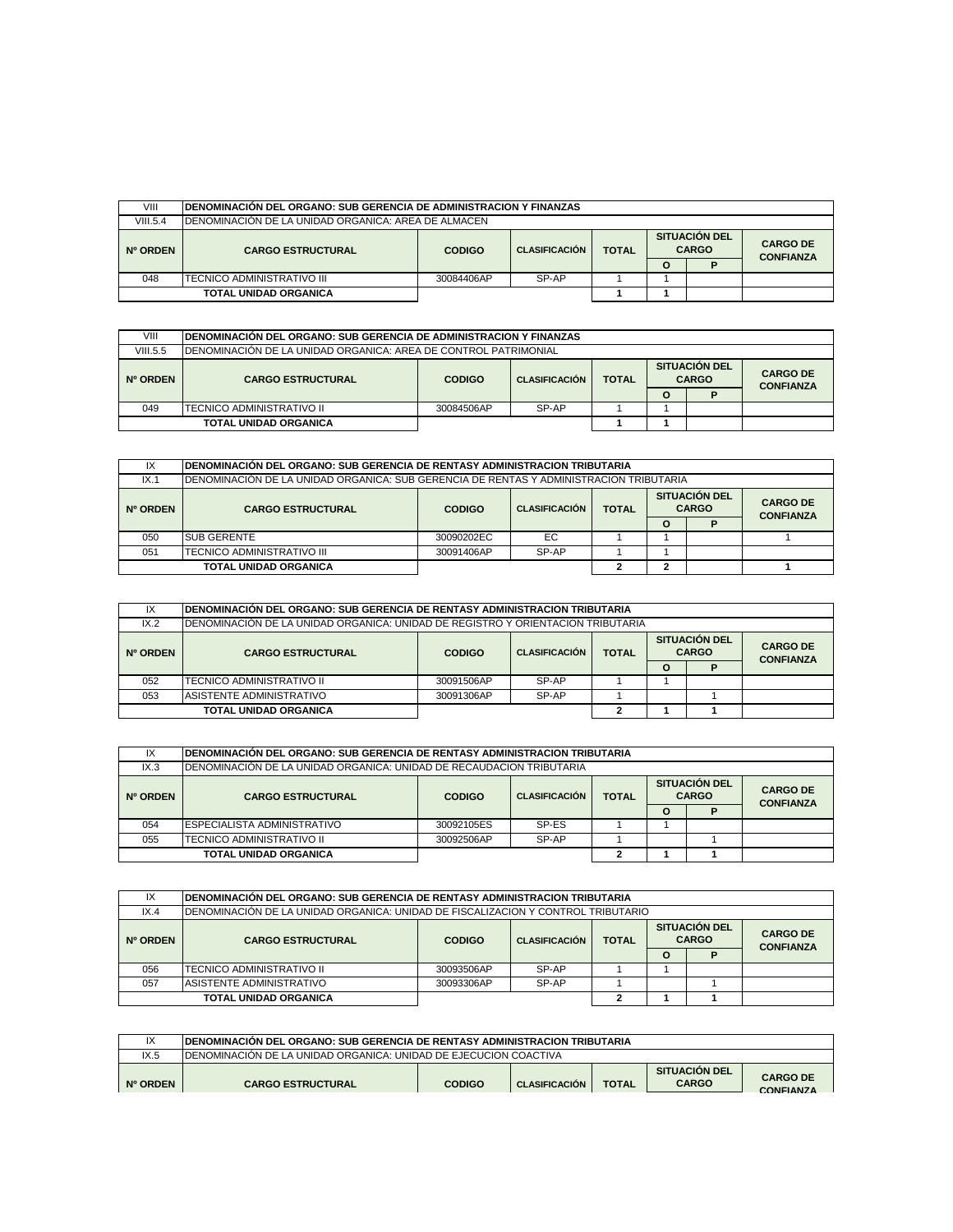| VIII     | IDENOMINACIÓN DEL ORGANO: SUB GERENCIA DE ADMINISTRACION Y FINANZAS |                                                                                               |       |  |         |  |                                     |  |  |
|----------|---------------------------------------------------------------------|-----------------------------------------------------------------------------------------------|-------|--|---------|--|-------------------------------------|--|--|
| VIII.5.4 | IDENOMINACIÓN DE LA UNIDAD ORGANICA: AREA DE ALMACEN.               |                                                                                               |       |  |         |  |                                     |  |  |
| Nº ORDEN | <b>CARGO ESTRUCTURAL</b>                                            | <b>SITUACIÓN DEL</b><br><b>CARGO</b><br><b>TOTAL</b><br><b>CLASIFICACIÓN</b><br><b>CODIGO</b> |       |  |         |  | <b>CARGO DE</b><br><b>CONFIANZA</b> |  |  |
|          |                                                                     |                                                                                               |       |  | $\circ$ |  |                                     |  |  |
| 048      | TECNICO ADMINISTRATIVO III                                          | 30084406AP                                                                                    | SP-AP |  |         |  |                                     |  |  |
|          | <b>TOTAL UNIDAD ORGANICA</b>                                        |                                                                                               |       |  |         |  |                                     |  |  |

| VIII     | IDENOMINACIÓN DEL ORGANO: SUB GERENCIA DE ADMINISTRACION Y FINANZAS     |               |                      |  |              |  |                                      |                                     |  |  |
|----------|-------------------------------------------------------------------------|---------------|----------------------|--|--------------|--|--------------------------------------|-------------------------------------|--|--|
| VIII.5.5 | <b>IDENOMINACIÓN DE LA UNIDAD ORGANICA: AREA DE CONTROL PATRIMONIAL</b> |               |                      |  |              |  |                                      |                                     |  |  |
| Nº ORDEN | <b>CARGO ESTRUCTURAL</b>                                                | <b>CODIGO</b> | <b>CLASIFICACIÓN</b> |  | <b>TOTAL</b> |  | <b>SITUACION DEL</b><br><b>CARGO</b> | <b>CARGO DE</b><br><b>CONFIANZA</b> |  |  |
|          |                                                                         |               |                      |  | O            |  |                                      |                                     |  |  |
| 049      | TECNICO ADMINISTRATIVO II<br>SP-AP<br>30084506AP                        |               |                      |  |              |  |                                      |                                     |  |  |
|          | <b>TOTAL UNIDAD ORGANICA</b>                                            |               |                      |  |              |  |                                      |                                     |  |  |

| IX       |                                                                                         | IDENOMINACIÓN DEL ORGANO: SUB GERENCIA DE RENTASY ADMINISTRACION TRIBUTARIA |                                      |                                     |   |  |  |  |  |  |  |
|----------|-----------------------------------------------------------------------------------------|-----------------------------------------------------------------------------|--------------------------------------|-------------------------------------|---|--|--|--|--|--|--|
| IX.1     | IDENOMINACIÓN DE LA UNIDAD ORGANICA: SUB GERENCIA DE RENTAS Y ADMINISTRACION TRIBUTARIA |                                                                             |                                      |                                     |   |  |  |  |  |  |  |
| Nº ORDEN | <b>CARGO ESTRUCTURAL</b>                                                                | <b>CODIGO</b>                                                               | <b>SITUACIÓN DEL</b><br><b>CARGO</b> | <b>CARGO DE</b><br><b>CONFIANZA</b> |   |  |  |  |  |  |  |
|          |                                                                                         |                                                                             |                                      |                                     | Ω |  |  |  |  |  |  |
| 050      | <b>SUB GERENTE</b>                                                                      | 30090202EC                                                                  | EC                                   |                                     |   |  |  |  |  |  |  |
| 051      | ITECNICO ADMINISTRATIVO III                                                             | SP-AP<br>30091406AP                                                         |                                      |                                     |   |  |  |  |  |  |  |
|          | <b>TOTAL UNIDAD ORGANICA</b><br>٠                                                       |                                                                             |                                      |                                     |   |  |  |  |  |  |  |

| IX                                                                            | IDENOMINACIÓN DEL ORGANO: SUB GERENCIA DE RENTASY ADMINISTRACION TRIBUTARIA      |            |       |  |                                                      |  |                                     |  |  |  |
|-------------------------------------------------------------------------------|----------------------------------------------------------------------------------|------------|-------|--|------------------------------------------------------|--|-------------------------------------|--|--|--|
| IX.2                                                                          | IDENOMINACIÓN DE LA UNIDAD ORGANICA: UNIDAD DE REGISTRO Y ORIENTACION TRIBUTARIA |            |       |  |                                                      |  |                                     |  |  |  |
| <b>CLASIFICACIÓN</b><br><b>CODIGO</b><br><b>CARGO ESTRUCTURAL</b><br>Nº ORDEN |                                                                                  |            |       |  | <b>SITUACIÓN DEL</b><br><b>CARGO</b><br><b>TOTAL</b> |  | <b>CARGO DE</b><br><b>CONFIANZA</b> |  |  |  |
|                                                                               |                                                                                  |            |       |  | $\circ$                                              |  |                                     |  |  |  |
| 052                                                                           | TECNICO ADMINISTRATIVO II                                                        | 30091506AP | SP-AP |  |                                                      |  |                                     |  |  |  |
| 053                                                                           | ASISTENTE ADMINISTRATIVO                                                         | 30091306AP | SP-AP |  |                                                      |  |                                     |  |  |  |
|                                                                               | <b>TOTAL UNIDAD ORGANICA</b>                                                     |            |       |  |                                                      |  |                                     |  |  |  |

| IX       | IDENOMINACIÓN DEL ORGANO: SUB GERENCIA DE RENTASY ADMINISTRACION TRIBUTARIA |                                       |       |              |          |                                      |                                     |  |  |  |
|----------|-----------------------------------------------------------------------------|---------------------------------------|-------|--------------|----------|--------------------------------------|-------------------------------------|--|--|--|
| IX.3     | IDENOMINACIÓN DE LA UNIDAD ORGANICA: UNIDAD DE RECAUDACION TRIBUTARIA       |                                       |       |              |          |                                      |                                     |  |  |  |
| Nº ORDEN | <b>CARGO ESTRUCTURAL</b>                                                    | <b>CLASIFICACIÓN</b><br><b>CODIGO</b> |       | <b>TOTAL</b> |          | <b>SITUACIÓN DEL</b><br><b>CARGO</b> | <b>CARGO DE</b><br><b>CONFIANZA</b> |  |  |  |
|          |                                                                             |                                       |       |              | $\Omega$ | D                                    |                                     |  |  |  |
| 054      | <b>ESPECIALISTA ADMINISTRATIVO</b>                                          | 30092105ES                            | SP-ES |              |          |                                      |                                     |  |  |  |
| 055      | <b>ITECNICO ADMINISTRATIVO II</b>                                           | 30092506AP                            | SP-AP |              |          |                                      |                                     |  |  |  |
|          | <b>TOTAL UNIDAD ORGANICA</b>                                                |                                       |       |              |          |                                      |                                     |  |  |  |

| IX       | IDENOMINACIÓN DEL ORGANO: SUB GERENCIA DE RENTASY ADMINISTRACION TRIBUTARIA       |                                       |                                                      |  |   |                                     |  |  |  |  |
|----------|-----------------------------------------------------------------------------------|---------------------------------------|------------------------------------------------------|--|---|-------------------------------------|--|--|--|--|
| IX.4     | IDENOMINACIÓN DE LA UNIDAD ORGANICA: UNIDAD DE FISCALIZACIÓN Y CONTROL TRIBUTARIO |                                       |                                                      |  |   |                                     |  |  |  |  |
| Nº ORDEN | <b>CARGO ESTRUCTURAL</b>                                                          | <b>CLASIFICACIÓN</b><br><b>CODIGO</b> | <b>SITUACIÓN DEL</b><br><b>CARGO</b><br><b>TOTAL</b> |  |   | <b>CARGO DE</b><br><b>CONFIANZA</b> |  |  |  |  |
|          |                                                                                   |                                       |                                                      |  | Ο |                                     |  |  |  |  |
| 056      | TECNICO ADMINISTRATIVO II                                                         | 30093506AP                            | SP-AP                                                |  |   |                                     |  |  |  |  |
| 057      | ASISTENTE ADMINISTRATIVO                                                          | 30093306AP                            | SP-AP                                                |  |   |                                     |  |  |  |  |
|          | <b>TOTAL UNIDAD ORGANICA</b>                                                      |                                       |                                                      |  |   |                                     |  |  |  |  |

| IΧ       | <b>IDENOMINACION DEL ORGANO: SUB GERENCIA DE RENTASY ADMINISTRACION TRIBUTARIA</b> |               |                      |              |                                      |                                     |
|----------|------------------------------------------------------------------------------------|---------------|----------------------|--------------|--------------------------------------|-------------------------------------|
| IX.5     | IDENOMINACIÓN DE LA UNIDAD ORGANICA: UNIDAD DE EJECUCIÓN COACTIVA                  |               |                      |              |                                      |                                     |
| Nº ORDEN | <b>CARGO ESTRUCTURAL</b>                                                           | <b>CODIGO</b> | <b>CLASIFICACIÓN</b> | <b>TOTAL</b> | <b>SITUACIÓN DEL</b><br><b>CARGO</b> | <b>CARGO DE</b><br><b>CONFIANZA</b> |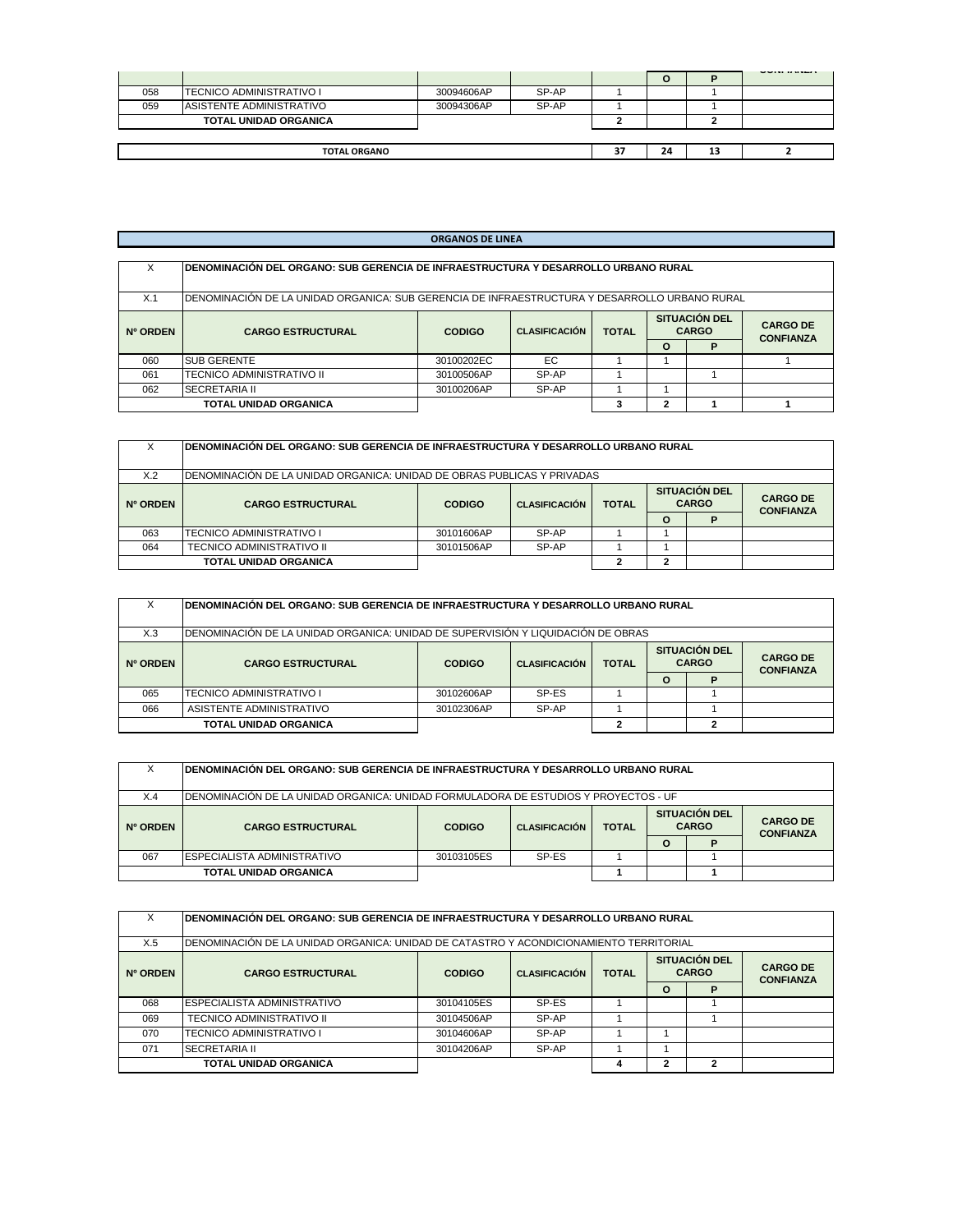|     |                                 |            |       |    |    |    | www.communication.com |
|-----|---------------------------------|------------|-------|----|----|----|-----------------------|
| 058 | <b>TECNICO ADMINISTRATIVO I</b> | 30094606AP | SP-AP |    |    |    |                       |
| 059 | ASISTENTE ADMINISTRATIVO        | 30094306AP | SP-AP |    |    |    |                       |
|     | <b>TOTAL UNIDAD ORGANICA</b>    |            |       |    |    |    |                       |
|     |                                 |            |       |    |    |    |                       |
|     | <b>TOTAL ORGANO</b>             |            |       | 37 | 24 | 13 |                       |
|     |                                 |            |       |    |    |    |                       |

# **ORGANOS DE LINEA**

| x        | IDENOMINACIÓN DEL ORGANO: SUB GERENCIA DE INFRAESTRUCTURA Y DESARROLLO URBANO RURAL            |               |                      |              |                                      |   |                                     |  |  |  |  |
|----------|------------------------------------------------------------------------------------------------|---------------|----------------------|--------------|--------------------------------------|---|-------------------------------------|--|--|--|--|
| X.1      | IDENOMINACIÓN DE LA UNIDAD ORGANICA: SUB GERENCIA DE INFRAESTRUCTURA Y DESARROLLO URBANO RURAL |               |                      |              |                                      |   |                                     |  |  |  |  |
| Nº ORDEN | <b>CARGO ESTRUCTURAL</b>                                                                       | <b>CODIGO</b> | <b>CLASIFICACIÓN</b> | <b>TOTAL</b> | <b>SITUACIÓN DEL</b><br><b>CARGO</b> |   | <b>CARGO DE</b><br><b>CONFIANZA</b> |  |  |  |  |
|          |                                                                                                |               |                      |              | $\Omega$                             | P |                                     |  |  |  |  |
| 060      | <b>SUB GERENTE</b>                                                                             | 30100202EC    | EC                   |              |                                      |   |                                     |  |  |  |  |
| 061      | TECNICO ADMINISTRATIVO II                                                                      | 30100506AP    | SP-AP                |              |                                      |   |                                     |  |  |  |  |
| 062      | <b>SECRETARIA II</b>                                                                           | 30100206AP    | SP-AP                |              |                                      |   |                                     |  |  |  |  |
|          | <b>TOTAL UNIDAD ORGANICA</b>                                                                   |               |                      |              | ŋ                                    |   |                                     |  |  |  |  |

| х        | IDENOMINACIÓN DEL ORGANO: SUB GERENCIA DE INFRAESTRUCTURA Y DESARROLLO URBANO RURAL |               |                      |              |          |                                      |                                     |  |  |  |
|----------|-------------------------------------------------------------------------------------|---------------|----------------------|--------------|----------|--------------------------------------|-------------------------------------|--|--|--|
| X.2      | IDENOMINACIÓN DE LA UNIDAD ORGANICA: UNIDAD DE OBRAS PUBLICAS Y PRIVADAS            |               |                      |              |          |                                      |                                     |  |  |  |
| Nº ORDEN | <b>CARGO ESTRUCTURAL</b>                                                            | <b>CODIGO</b> | <b>CLASIFICACIÓN</b> | <b>TOTAL</b> |          | <b>SITUACIÓN DEL</b><br><b>CARGO</b> | <b>CARGO DE</b><br><b>CONFIANZA</b> |  |  |  |
|          |                                                                                     |               |                      |              | $\Omega$ |                                      |                                     |  |  |  |
| 063      | TECNICO ADMINISTRATIVO I                                                            | 30101606AP    | SP-AP                |              |          |                                      |                                     |  |  |  |
| 064      | <b>TECNICO ADMINISTRATIVO II</b><br>SP-AP<br>30101506AP                             |               |                      |              |          |                                      |                                     |  |  |  |
|          | <b>TOTAL UNIDAD ORGANICA</b>                                                        |               |                      |              | ົ        |                                      |                                     |  |  |  |

| х        | IDENOMINACIÓN DEL ORGANO: SUB GERENCIA DE INFRAESTRUCTURA Y DESARROLLO URBANO RURAL |                     |                      |              |   |                                      |                                     |  |  |  |  |
|----------|-------------------------------------------------------------------------------------|---------------------|----------------------|--------------|---|--------------------------------------|-------------------------------------|--|--|--|--|
| X.3      | IDENOMINACIÓN DE LA UNIDAD ORGANICA: UNIDAD DE SUPERVISIÓN Y LIQUIDACIÓN DE OBRAS   |                     |                      |              |   |                                      |                                     |  |  |  |  |
| Nº ORDEN | <b>CARGO ESTRUCTURAL</b>                                                            | <b>CODIGO</b>       | <b>CLASIFICACIÓN</b> | <b>TOTAL</b> |   | <b>SITUACIÓN DEL</b><br><b>CARGO</b> | <b>CARGO DE</b><br><b>CONFIANZA</b> |  |  |  |  |
|          |                                                                                     |                     |                      |              | O |                                      |                                     |  |  |  |  |
| 065      | <b>TECNICO ADMINISTRATIVO I</b>                                                     | 30102606AP          | SP-ES                |              |   |                                      |                                     |  |  |  |  |
| 066      | ASISTENTE ADMINISTRATIVO                                                            | SP-AP<br>30102306AP |                      |              |   |                                      |                                     |  |  |  |  |
|          | TOTAL UNIDAD ORGANICA                                                               |                     |                      |              |   |                                      |                                     |  |  |  |  |

|                 | IDENOMINACIÓN DEL ORGANO: SUB GERENCIA DE INFRAESTRUCTURA Y DESARROLLO URBANO RURAL  |                     |                      |              |                                      |                                     |  |  |  |  |  |
|-----------------|--------------------------------------------------------------------------------------|---------------------|----------------------|--------------|--------------------------------------|-------------------------------------|--|--|--|--|--|
| X.4             | IDENOMINACIÓN DE LA UNIDAD ORGANICA: UNIDAD FORMULADORA DE ESTUDIOS Y PROYECTOS - UF |                     |                      |              |                                      |                                     |  |  |  |  |  |
| <b>Nº ORDEN</b> | <b>CARGO ESTRUCTURAL</b>                                                             | <b>CODIGO</b>       | <b>CLASIFICACIÓN</b> | <b>TOTAL</b> | <b>SITUACIÓN DEL</b><br><b>CARGO</b> | <b>CARGO DE</b><br><b>CONFIANZA</b> |  |  |  |  |  |
|                 |                                                                                      |                     |                      |              | O                                    |                                     |  |  |  |  |  |
| 067             | ESPECIALISTA ADMINISTRATIVO                                                          | SP-ES<br>30103105ES |                      |              |                                      |                                     |  |  |  |  |  |
|                 | <b>TOTAL UNIDAD ORGANICA</b>                                                         |                     |                      |              |                                      |                                     |  |  |  |  |  |

| X        | IDENOMINACIÓN DEL ORGANO: SUB GERENCIA DE INFRAESTRUCTURA Y DESARROLLO URBANO RURAL     |                     |                                      |                                     |          |   |  |  |  |  |  |
|----------|-----------------------------------------------------------------------------------------|---------------------|--------------------------------------|-------------------------------------|----------|---|--|--|--|--|--|
| X.5      | IDENOMINACIÓN DE LA UNIDAD ORGANICA: UNIDAD DE CATASTRO Y ACONDICIONAMIENTO TERRITORIAL |                     |                                      |                                     |          |   |  |  |  |  |  |
| Nº ORDEN | <b>CARGO ESTRUCTURAL</b>                                                                | <b>CODIGO</b>       | <b>SITUACIÓN DEL</b><br><b>CARGO</b> | <b>CARGO DE</b><br><b>CONFIANZA</b> |          |   |  |  |  |  |  |
|          |                                                                                         |                     |                                      |                                     | $\Omega$ | D |  |  |  |  |  |
| 068      | <b>IESPECIALISTA ADMINISTRATIVO</b>                                                     | 30104105ES          | SP-ES                                |                                     |          |   |  |  |  |  |  |
| 069      | TECNICO ADMINISTRATIVO II                                                               | 30104506AP          | SP-AP                                |                                     |          |   |  |  |  |  |  |
| 070      | <b>TECNICO ADMINISTRATIVO I</b>                                                         | 30104606AP          | SP-AP                                |                                     |          |   |  |  |  |  |  |
| 071      | <b>SECRETARIA II</b>                                                                    | SP-AP<br>30104206AP |                                      |                                     |          |   |  |  |  |  |  |
|          | <b>TOTAL UNIDAD ORGANICA</b>                                                            |                     |                                      |                                     | ∍        |   |  |  |  |  |  |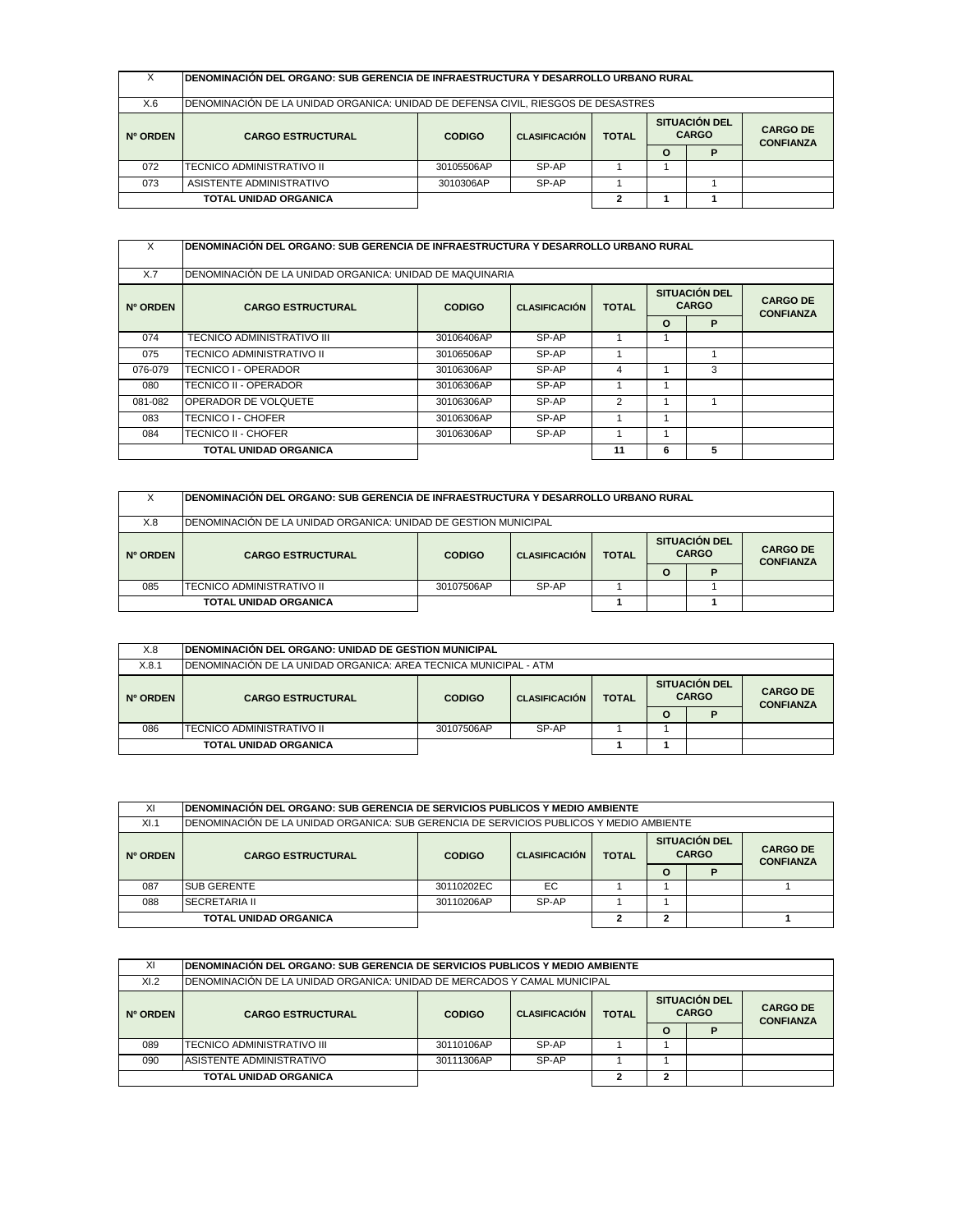| x        | DENOMINACIÓN DEL ORGANO: SUB GERENCIA DE INFRAESTRUCTURA Y DESARROLLO URBANO RURAL |               |                      |              |         |                                      |                                     |  |  |
|----------|------------------------------------------------------------------------------------|---------------|----------------------|--------------|---------|--------------------------------------|-------------------------------------|--|--|
| X.6      | DENOMINACIÓN DE LA UNIDAD ORGANICA: UNIDAD DE DEFENSA CIVIL, RIESGOS DE DESASTRES  |               |                      |              |         |                                      |                                     |  |  |
| Nº ORDEN | <b>CARGO ESTRUCTURAL</b>                                                           | <b>CODIGO</b> | <b>CLASIFICACIÓN</b> | <b>TOTAL</b> |         | <b>SITUACIÓN DEL</b><br><b>CARGO</b> | <b>CARGO DE</b><br><b>CONFIANZA</b> |  |  |
|          |                                                                                    |               |                      |              | $\circ$ |                                      |                                     |  |  |
| 072      | TECNICO ADMINISTRATIVO II                                                          | 30105506AP    | SP-AP                |              |         |                                      |                                     |  |  |
| 073      | ASISTENTE ADMINISTRATIVO<br>SP-AP<br>3010306AP                                     |               |                      |              |         |                                      |                                     |  |  |
|          | <b>TOTAL UNIDAD ORGANICA</b>                                                       |               |                      | 2            |         |                                      |                                     |  |  |

| X        | <b>DENOMINACIÓN DEL ORGANO: SUB GERENCIA DE INFRAESTRUCTURA Y DESARROLLO URBANO RURAL</b> |                                       |                                               |                |          |                                     |  |  |  |  |
|----------|-------------------------------------------------------------------------------------------|---------------------------------------|-----------------------------------------------|----------------|----------|-------------------------------------|--|--|--|--|
| X.7      | DENOMINACIÓN DE LA UNIDAD ORGANICA: UNIDAD DE MAQUINARIA                                  |                                       |                                               |                |          |                                     |  |  |  |  |
| Nº ORDEN | <b>CARGO ESTRUCTURAL</b>                                                                  | <b>CODIGO</b><br><b>CLASIFICACIÓN</b> | SITUACIÓN DEL<br><b>CARGO</b><br><b>TOTAL</b> |                |          | <b>CARGO DE</b><br><b>CONFIANZA</b> |  |  |  |  |
|          |                                                                                           |                                       |                                               |                | $\Omega$ | P                                   |  |  |  |  |
| 074      | TECNICO ADMINISTRATIVO III                                                                | 30106406AP                            | SP-AP                                         |                |          |                                     |  |  |  |  |
| 075      | TECNICO ADMINISTRATIVO II                                                                 | 30106506AP                            | SP-AP                                         |                |          |                                     |  |  |  |  |
| 076-079  | TECNICO I - OPERADOR                                                                      | 30106306AP                            | SP-AP                                         | $\overline{4}$ |          | 3                                   |  |  |  |  |
| 080      | TECNICO II - OPERADOR                                                                     | 30106306AP                            | SP-AP                                         |                |          |                                     |  |  |  |  |
| 081-082  | <b>OPERADOR DE VOLQUETE</b>                                                               | 30106306AP                            | SP-AP                                         | $\overline{2}$ |          |                                     |  |  |  |  |
| 083      | TECNICO I - CHOFER                                                                        | 30106306AP                            | SP-AP                                         |                |          |                                     |  |  |  |  |
| 084      | <b>TECNICO II - CHOFER</b>                                                                | 30106306AP                            | SP-AP                                         |                |          |                                     |  |  |  |  |
|          | TOTAL UNIDAD ORGANICA                                                                     |                                       |                                               | 11             | 6        | 5                                   |  |  |  |  |

| х        | IDENOMINACION DEL ORGANO: SUB GERENCIA DE INFRAESTRUCTURA Y DESARROLLO URBANO RURAL |                     |                      |              |                                      |   |                                     |  |  |  |
|----------|-------------------------------------------------------------------------------------|---------------------|----------------------|--------------|--------------------------------------|---|-------------------------------------|--|--|--|
| X.8      | IDENOMINACIÓN DE LA UNIDAD ORGANICA: UNIDAD DE GESTION MUNICIPAL                    |                     |                      |              |                                      |   |                                     |  |  |  |
| Nº ORDEN | <b>CARGO ESTRUCTURAL</b>                                                            | <b>CODIGO</b>       | <b>CLASIFICACIÓN</b> | <b>TOTAL</b> | <b>SITUACIÓN DEL</b><br><b>CARGO</b> |   | <b>CARGO DE</b><br><b>CONFIANZA</b> |  |  |  |
|          |                                                                                     |                     |                      |              | $\Omega$                             | P |                                     |  |  |  |
| 085      | TECNICO ADMINISTRATIVO II                                                           | 30107506AP<br>SP-AP |                      |              |                                      |   |                                     |  |  |  |
|          | <b>TOTAL UNIDAD ORGANICA</b>                                                        |                     |                      |              |                                      |   |                                     |  |  |  |

| X.8      | <b>IDENOMINACIÓN DEL ORGANO: UNIDAD DE GESTION MUNICIPAL</b>      |               |                      |              |          |                                      |                                     |  |  |  |
|----------|-------------------------------------------------------------------|---------------|----------------------|--------------|----------|--------------------------------------|-------------------------------------|--|--|--|
| X.8.1    | IDENOMINACIÓN DE LA UNIDAD ORGANICA: AREA TECNICA MUNICIPAL - ATM |               |                      |              |          |                                      |                                     |  |  |  |
| Nº ORDEN | <b>CARGO ESTRUCTURAL</b>                                          | <b>CODIGO</b> | <b>CLASIFICACIÓN</b> | <b>TOTAL</b> |          | <b>SITUACIÓN DEL</b><br><b>CARGO</b> | <b>CARGO DE</b><br><b>CONFIANZA</b> |  |  |  |
|          |                                                                   |               |                      |              | $\Omega$ |                                      |                                     |  |  |  |
| 086      | <b>ITECNICO ADMINISTRATIVO II</b>                                 | 30107506AP    | SP-AP                |              |          |                                      |                                     |  |  |  |
|          | <b>TOTAL UNIDAD ORGANICA</b>                                      |               |                      |              |          |                                      |                                     |  |  |  |

| ΧI       |                                                                                          | IDENOMINACIÓN DEL ORGANO: SUB GERENCIA DE SERVICIOS PUBLICOS Y MEDIO AMBIENTE |                      |              |                                                                             |  |  |  |  |  |  |
|----------|------------------------------------------------------------------------------------------|-------------------------------------------------------------------------------|----------------------|--------------|-----------------------------------------------------------------------------|--|--|--|--|--|--|
| XI.1     | IDENOMINACIÓN DE LA UNIDAD ORGANICA: SUB GERENCIA DE SERVICIOS PUBLICOS Y MEDIO AMBIENTE |                                                                               |                      |              |                                                                             |  |  |  |  |  |  |
| Nº ORDEN | <b>CARGO ESTRUCTURAL</b>                                                                 | <b>CODIGO</b>                                                                 | <b>CLASIFICACIÓN</b> | <b>TOTAL</b> | <b>SITUACIÓN DEL</b><br><b>CARGO DE</b><br><b>CARGO</b><br><b>CONFIANZA</b> |  |  |  |  |  |  |
|          |                                                                                          |                                                                               |                      |              | $\Omega$                                                                    |  |  |  |  |  |  |
| 087      | <b>SUB GERENTE</b>                                                                       | 30110202EC                                                                    | EC.                  |              |                                                                             |  |  |  |  |  |  |
| 088      | <b>SECRETARIA II</b>                                                                     | 30110206AP                                                                    | SP-AP                |              |                                                                             |  |  |  |  |  |  |
|          | <b>TOTAL UNIDAD ORGANICA</b>                                                             |                                                                               |                      |              |                                                                             |  |  |  |  |  |  |

| ΧI       | IDENOMINACIÓN DEL ORGANO: SUB GERENCIA DE SERVICIOS PUBLICOS Y MEDIO AMBIENTE |                                                       |       |  |         |   |                                      |  |  |                                     |
|----------|-------------------------------------------------------------------------------|-------------------------------------------------------|-------|--|---------|---|--------------------------------------|--|--|-------------------------------------|
| X1.2     | IDENOMINACIÓN DE LA UNIDAD ORGANICA: UNIDAD DE MERCADOS Y CAMAL MUNICIPAL     |                                                       |       |  |         |   |                                      |  |  |                                     |
| Nº ORDEN | <b>CARGO ESTRUCTURAL</b>                                                      | <b>CLASIFICACIÓN</b><br><b>TOTAL</b><br><b>CODIGO</b> |       |  |         |   | <b>SITUACIÓN DEL</b><br><b>CARGO</b> |  |  | <b>CARGO DE</b><br><b>CONFIANZA</b> |
|          |                                                                               |                                                       |       |  | $\circ$ | D |                                      |  |  |                                     |
| 089      | TECNICO ADMINISTRATIVO III                                                    | 30110106AP                                            | SP-AP |  |         |   |                                      |  |  |                                     |
| 090      | ASISTENTE ADMINISTRATIVO                                                      | 30111306AP                                            | SP-AP |  |         |   |                                      |  |  |                                     |
|          | TOTAL UNIDAD ORGANICA                                                         |                                                       |       |  |         |   |                                      |  |  |                                     |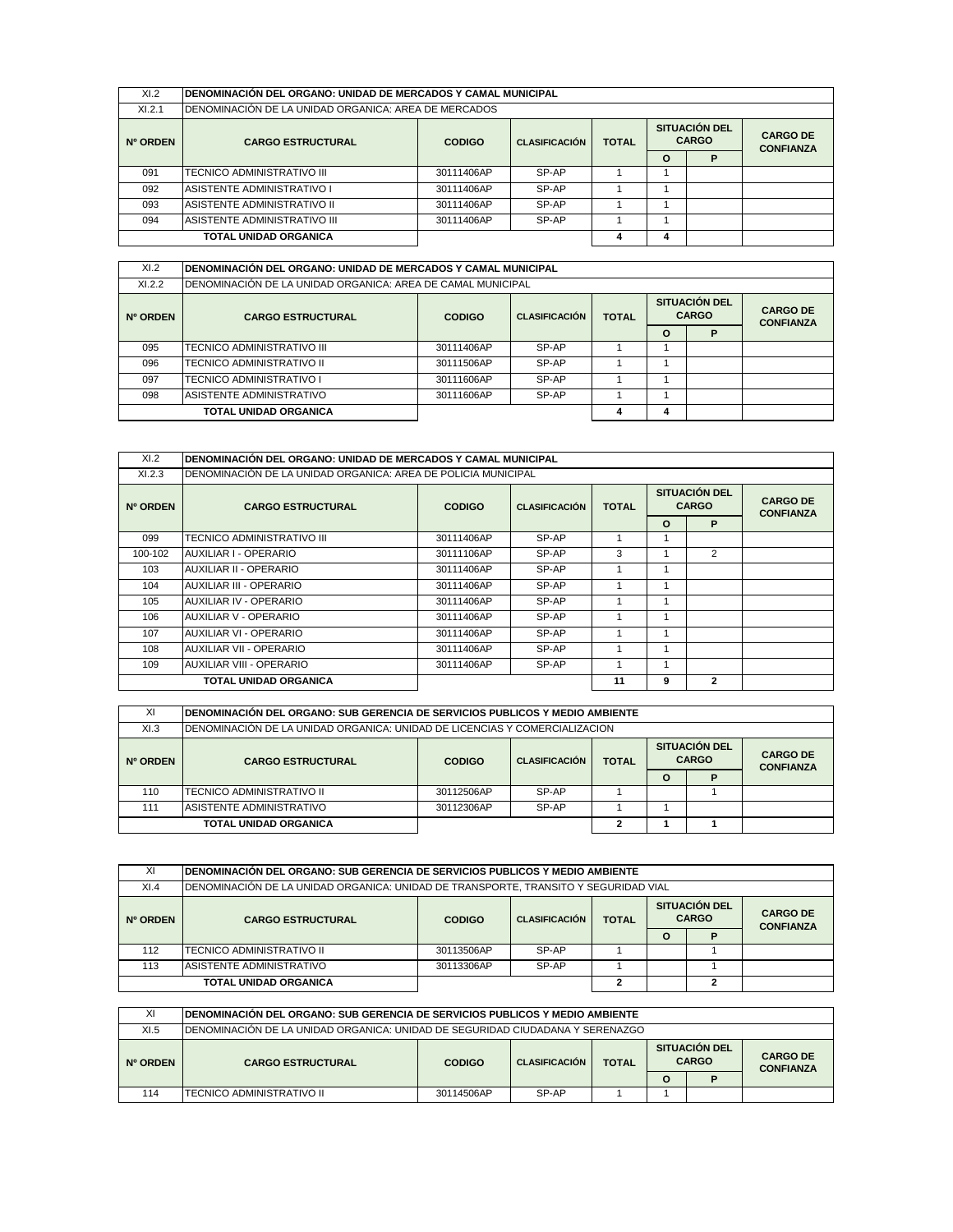| XI.2     | IDENOMINACIÓN DEL ORGANO: UNIDAD DE MERCADOS Y CAMAL MUNICIPAL |               |                                                                              |   |          |   |                                     |  |  |  |
|----------|----------------------------------------------------------------|---------------|------------------------------------------------------------------------------|---|----------|---|-------------------------------------|--|--|--|
| X1.2.1   | DENOMINACIÓN DE LA UNIDAD ORGANICA: AREA DE MERCADOS           |               |                                                                              |   |          |   |                                     |  |  |  |
| Nº ORDEN | <b>CARGO ESTRUCTURAL</b>                                       | <b>CODIGO</b> | <b>SITUACIÓN DEL</b><br><b>CARGO</b><br><b>CLASIFICACIÓN</b><br><b>TOTAL</b> |   |          |   | <b>CARGO DE</b><br><b>CONFIANZA</b> |  |  |  |
|          |                                                                |               |                                                                              |   | $\Omega$ | P |                                     |  |  |  |
| 091      | TECNICO ADMINISTRATIVO III                                     | 30111406AP    | SP-AP                                                                        |   |          |   |                                     |  |  |  |
| 092      | IASISTENTE ADMINISTRATIVO I                                    | 30111406AP    | SP-AP                                                                        |   |          |   |                                     |  |  |  |
| 093      | <b>ASISTENTE ADMINISTRATIVO II</b>                             | 30111406AP    | SP-AP                                                                        |   |          |   |                                     |  |  |  |
| 094      | IASISTENTE ADMINISTRATIVO III                                  | 30111406AP    | SP-AP                                                                        |   |          |   |                                     |  |  |  |
|          | <b>TOTAL UNIDAD ORGANICA</b>                                   |               |                                                                              | 4 | 4        |   |                                     |  |  |  |

| XI.2     | IDENOMINACIÓN DEL ORGANO: UNIDAD DE MERCADOS Y CAMAL MUNICIPAL |                                                       |       |   |   |   |                                      |                                     |  |  |
|----------|----------------------------------------------------------------|-------------------------------------------------------|-------|---|---|---|--------------------------------------|-------------------------------------|--|--|
| XI.2.2   | DENOMINACIÓN DE LA UNIDAD ORGANICA: AREA DE CAMAL MUNICIPAL    |                                                       |       |   |   |   |                                      |                                     |  |  |
| Nº ORDEN | <b>CARGO ESTRUCTURAL</b>                                       | <b>TOTAL</b><br><b>CODIGO</b><br><b>CLASIFICACIÓN</b> |       |   |   |   | <b>SITUACIÓN DEL</b><br><b>CARGO</b> | <b>CARGO DE</b><br><b>CONFIANZA</b> |  |  |
|          |                                                                |                                                       |       |   | O | P |                                      |                                     |  |  |
| 095      | TECNICO ADMINISTRATIVO III                                     | 30111406AP                                            | SP-AP |   |   |   |                                      |                                     |  |  |
| 096      | <b>TECNICO ADMINISTRATIVO II</b>                               | 30111506AP                                            | SP-AP |   |   |   |                                      |                                     |  |  |
| 097      | TECNICO ADMINISTRATIVO I                                       | 30111606AP                                            | SP-AP |   |   |   |                                      |                                     |  |  |
| 098      | ASISTENTE ADMINISTRATIVO                                       | 30111606AP                                            | SP-AP |   |   |   |                                      |                                     |  |  |
|          | <b>TOTAL UNIDAD ORGANICA</b>                                   |                                                       |       | 4 | 4 |   |                                      |                                     |  |  |

| XI.2     | IDENOMINACIÓN DEL ORGANO: UNIDAD DE MERCADOS Y CAMAL MUNICIPAL |               |                      |              |          |                               |                                     |
|----------|----------------------------------------------------------------|---------------|----------------------|--------------|----------|-------------------------------|-------------------------------------|
| X1.2.3   | DENOMINACIÓN DE LA UNIDAD ORGANICA: AREA DE POLICIA MUNICIPAL  |               |                      |              |          |                               |                                     |
| Nº ORDEN | <b>CARGO ESTRUCTURAL</b>                                       | <b>CODIGO</b> | <b>CLASIFICACIÓN</b> | <b>TOTAL</b> |          | SITUACIÓN DEL<br><b>CARGO</b> | <b>CARGO DE</b><br><b>CONFIANZA</b> |
|          |                                                                |               |                      |              | $\Omega$ | P                             |                                     |
| 099      | TECNICO ADMINISTRATIVO III                                     | 30111406AP    | SP-AP                |              |          |                               |                                     |
| 100-102  | AUXILIAR I - OPERARIO                                          | 30111106AP    | SP-AP                | 3            |          | $\overline{2}$                |                                     |
| 103      | <b>AUXILIAR II - OPERARIO</b>                                  | 30111406AP    | SP-AP                |              |          |                               |                                     |
| 104      | AUXILIAR III - OPERARIO                                        | 30111406AP    | SP-AP                |              |          |                               |                                     |
| 105      | AUXILIAR IV - OPERARIO                                         | 30111406AP    | SP-AP                |              |          |                               |                                     |
| 106      | AUXILIAR V - OPERARIO                                          | 30111406AP    | SP-AP                |              |          |                               |                                     |
| 107      | <b>AUXILIAR VI - OPERARIO</b>                                  | 30111406AP    | SP-AP                |              |          |                               |                                     |
| 108      | <b>AUXILIAR VII - OPERARIO</b>                                 | 30111406AP    | SP-AP                |              |          |                               |                                     |
| 109      | AUXILIAR VIII - OPERARIO                                       | 30111406AP    | SP-AP                |              |          |                               |                                     |
|          | TOTAL UNIDAD ORGANICA                                          |               |                      | 11           | 9        | $\mathbf{2}$                  |                                     |

| ΧI       | IDENOMINACIÓN DEL ORGANO: SUB GERENCIA DE SERVICIOS PUBLICOS Y MEDIO AMBIENTE                                                                                    |                     |       |  |  |  |  |  |  |
|----------|------------------------------------------------------------------------------------------------------------------------------------------------------------------|---------------------|-------|--|--|--|--|--|--|
| XI.3     | IDENOMINACION DE LA UNIDAD ORGANICA: UNIDAD DE LICENCIAS Y COMERCIALIZACION                                                                                      |                     |       |  |  |  |  |  |  |
| Nº ORDEN | <b>SITUACION DEL</b><br><b>CARGO DE</b><br><b>CARGO</b><br><b>CLASIFICACIÓN</b><br><b>TOTAL</b><br><b>CODIGO</b><br><b>CARGO ESTRUCTURAL</b><br><b>CONFIANZA</b> |                     |       |  |  |  |  |  |  |
|          |                                                                                                                                                                  |                     |       |  |  |  |  |  |  |
| 110      | TECNICO ADMINISTRATIVO II                                                                                                                                        | 30112506AP          | SP-AP |  |  |  |  |  |  |
| 111      | ASISTENTE ADMINISTRATIVO                                                                                                                                         | SP-AP<br>30112306AP |       |  |  |  |  |  |  |
|          | <b>TOTAL UNIDAD ORGANICA</b>                                                                                                                                     |                     |       |  |  |  |  |  |  |

| XI       | IDENOMINACIÓN DEL ORGANO: SUB GERENCIA DE SERVICIOS PUBLICOS Y MEDIO AMBIENTE                                                                                    |            |       |  |          |   |  |  |  |  |
|----------|------------------------------------------------------------------------------------------------------------------------------------------------------------------|------------|-------|--|----------|---|--|--|--|--|
| XI.4     | DENOMINACIÓN DE LA UNIDAD ORGANICA: UNIDAD DE TRANSPORTE, TRANSITO Y SEGURIDAD VIAL                                                                              |            |       |  |          |   |  |  |  |  |
| Nº ORDEN | <b>SITUACIÓN DEL</b><br><b>CARGO DE</b><br><b>CARGO</b><br><b>CLASIFICACIÓN</b><br><b>TOTAL</b><br><b>CARGO ESTRUCTURAL</b><br><b>CODIGO</b><br><b>CONFIANZA</b> |            |       |  |          |   |  |  |  |  |
|          |                                                                                                                                                                  |            |       |  | $\Omega$ | P |  |  |  |  |
| 112      | TECNICO ADMINISTRATIVO II                                                                                                                                        | 30113506AP | SP-AP |  |          |   |  |  |  |  |
| 113      | ASISTENTE ADMINISTRATIVO                                                                                                                                         | 30113306AP | SP-AP |  |          |   |  |  |  |  |
|          | <b>TOTAL UNIDAD ORGANICA</b>                                                                                                                                     |            |       |  |          | 2 |  |  |  |  |
|          |                                                                                                                                                                  |            |       |  |          |   |  |  |  |  |
| XI       | IDENOMINACIÓN DEL ORGANO: SUB GERENCIA DE SERVICIOS PUBLICOS Y MEDIO AMBIENTE                                                                                    |            |       |  |          |   |  |  |  |  |
| XI.5     | IDENOMINACIÓN DE LA UNIDAD ORGANICA: UNIDAD DE SEGURIDAD CIUDADANA Y SERENAZGO                                                                                   |            |       |  |          |   |  |  |  |  |
|          |                                                                                                                                                                  |            |       |  |          |   |  |  |  |  |

| XI.5     | IDENOMINACION DE LA UNIDAD ORGANICA: UNIDAD DE SEGURIDAD CIUDADANA Y SERENAZGO |                                                                                               |       |  |                                     |  |  |  |  |
|----------|--------------------------------------------------------------------------------|-----------------------------------------------------------------------------------------------|-------|--|-------------------------------------|--|--|--|--|
| Nº ORDEN | <b>CARGO ESTRUCTURAL</b>                                                       | <b>SITUACIÓN DEL</b><br><b>CARGO</b><br><b>TOTAL</b><br><b>CLASIFICACIÓN</b><br><b>CODIGO</b> |       |  | <b>CARGO DE</b><br><b>CONFIANZA</b> |  |  |  |  |
|          |                                                                                |                                                                                               |       |  | ი                                   |  |  |  |  |
| 114      | <b>ITECNICO ADMINISTRATIVO II</b>                                              | 30114506AP                                                                                    | SP-AP |  |                                     |  |  |  |  |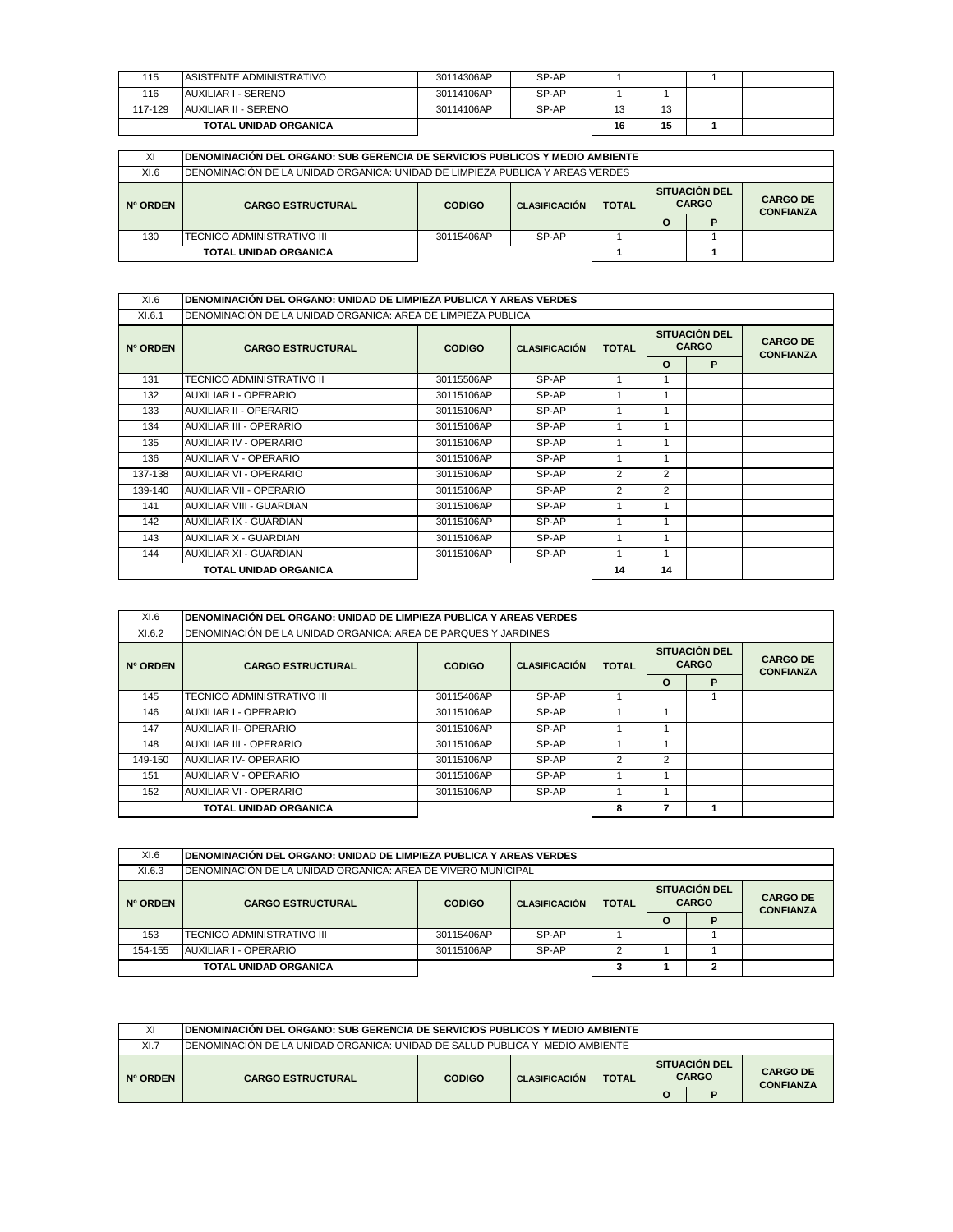| 115     | <b>ASISTENTE ADMINISTRATIVO</b> | 30114306AP | SP-AP |    |    |  |
|---------|---------------------------------|------------|-------|----|----|--|
| 116     | AUXILIAR I - SERENO             | 30114106AP | SP-AP |    |    |  |
| 117-129 | AUXILIAR II - SERENO            | 30114106AP | SP-AP | 13 | 13 |  |
|         | <b>TOTAL UNIDAD ORGANICA</b>    |            |       | 16 | 15 |  |

| XI       | IDENOMINACIÓN DEL ORGANO: SUB GERENCIA DE SERVICIOS PUBLICOS Y MEDIO AMBIENTE                                                                                    |                     |  |  |   |  |  |  |  |  |
|----------|------------------------------------------------------------------------------------------------------------------------------------------------------------------|---------------------|--|--|---|--|--|--|--|--|
| XI.6     | IDENOMINACIÓN DE LA UNIDAD ORGANICA: UNIDAD DE LIMPIEZA PUBLICA Y AREAS VERDES.                                                                                  |                     |  |  |   |  |  |  |  |  |
| Nº ORDEN | <b>SITUACIÓN DEL</b><br><b>CARGO DE</b><br><b>CARGO</b><br><b>CLASIFICACIÓN</b><br><b>TOTAL</b><br><b>CARGO ESTRUCTURAL</b><br><b>CODIGO</b><br><b>CONFIANZA</b> |                     |  |  |   |  |  |  |  |  |
|          |                                                                                                                                                                  |                     |  |  | O |  |  |  |  |  |
| 130      | TECNICO ADMINISTRATIVO III                                                                                                                                       | SP-AP<br>30115406AP |  |  |   |  |  |  |  |  |
|          | <b>TOTAL UNIDAD ORGANICA</b>                                                                                                                                     |                     |  |  |   |  |  |  |  |  |

| XI.6     | IDENOMINACIÓN DEL ORGANO: UNIDAD DE LIMPIEZA PUBLICA Y AREAS VERDES |               |                      |              |          |                               |                                     |
|----------|---------------------------------------------------------------------|---------------|----------------------|--------------|----------|-------------------------------|-------------------------------------|
| XI.6.1   | DENOMINACIÓN DE LA UNIDAD ORGANICA: AREA DE LIMPIEZA PUBLICA        |               |                      |              |          |                               |                                     |
| Nº ORDEN | <b>CARGO ESTRUCTURAL</b>                                            | <b>CODIGO</b> | <b>CLASIFICACIÓN</b> | <b>TOTAL</b> |          | SITUACIÓN DEL<br><b>CARGO</b> | <b>CARGO DE</b><br><b>CONFIANZA</b> |
|          |                                                                     |               |                      |              | $\Omega$ | P                             |                                     |
| 131      | TECNICO ADMINISTRATIVO II                                           | 30115506AP    | SP-AP                |              | 1        |                               |                                     |
| 132      | AUXILIAR I - OPERARIO                                               | 30115106AP    | SP-AP                |              | 1        |                               |                                     |
| 133      | AUXILIAR II - OPERARIO                                              | 30115106AP    | SP-AP                |              | 1        |                               |                                     |
| 134      | <b>AUXILIAR III - OPERARIO</b>                                      | 30115106AP    | SP-AP                |              | 1        |                               |                                     |
| 135      | AUXILIAR IV - OPERARIO                                              | 30115106AP    | SP-AP                |              | 1        |                               |                                     |
| 136      | AUXILIAR V - OPERARIO                                               | 30115106AP    | SP-AP                |              |          |                               |                                     |
| 137-138  | AUXILIAR VI - OPERARIO                                              | 30115106AP    | SP-AP                | 2            | 2        |                               |                                     |
| 139-140  | <b>AUXILIAR VII - OPERARIO</b>                                      | 30115106AP    | SP-AP                | 2            | 2        |                               |                                     |
| 141      | AUXILIAR VIII - GUARDIAN                                            | 30115106AP    | SP-AP                |              | 1        |                               |                                     |
| 142      | AUXILIAR IX - GUARDIAN                                              | 30115106AP    | SP-AP                |              | 1        |                               |                                     |
| 143      | <b>AUXILIAR X - GUARDIAN</b>                                        | 30115106AP    | SP-AP                |              | 1        |                               |                                     |
| 144      | AUXILIAR XI - GUARDIAN                                              | 30115106AP    | SP-AP                |              | 1        |                               |                                     |
|          | <b>TOTAL UNIDAD ORGANICA</b>                                        |               |                      | 14           | 14       |                               |                                     |

| XI.6     | IDENOMINACIÓN DEL ORGANO: UNIDAD DE LIMPIEZA PUBLICA Y AREAS VERDES |                      |              |   |                                      |                                     |  |  |  |
|----------|---------------------------------------------------------------------|----------------------|--------------|---|--------------------------------------|-------------------------------------|--|--|--|
| XI.6.2   | DENOMINACIÓN DE LA UNIDAD ORGANICA: AREA DE PARQUES Y JARDINES      |                      |              |   |                                      |                                     |  |  |  |
| Nº ORDEN | <b>CARGO ESTRUCTURAL</b><br><b>CODIGO</b>                           | <b>CLASIFICACIÓN</b> | <b>TOTAL</b> |   | <b>SITUACIÓN DEL</b><br><b>CARGO</b> | <b>CARGO DE</b><br><b>CONFIANZA</b> |  |  |  |
|          |                                                                     |                      |              |   | $\Omega$                             | P                                   |  |  |  |
| 145      | TECNICO ADMINISTRATIVO III                                          | 30115406AP           | SP-AP        |   |                                      |                                     |  |  |  |
| 146      | AUXILIAR I - OPERARIO                                               | 30115106AP           | SP-AP        |   |                                      |                                     |  |  |  |
| 147      | AUXILIAR II- OPERARIO                                               | 30115106AP           | SP-AP        |   |                                      |                                     |  |  |  |
| 148      | AUXILIAR III - OPERARIO                                             | 30115106AP           | SP-AP        |   |                                      |                                     |  |  |  |
| 149-150  | AUXILIAR IV- OPERARIO                                               | 30115106AP           | SP-AP        | 2 | $\overline{2}$                       |                                     |  |  |  |
| 151      | AUXILIAR V - OPERARIO                                               | 30115106AP           | SP-AP        |   |                                      |                                     |  |  |  |
| 152      | AUXILIAR VI - OPERARIO                                              | 30115106AP           | SP-AP        |   |                                      |                                     |  |  |  |
|          | TOTAL UNIDAD ORGANICA                                               |                      |              | 8 |                                      |                                     |  |  |  |

| XI.6     | IDENOMINACIÓN DEL ORGANO: UNIDAD DE LIMPIEZA PUBLICA Y AREAS VERDES                                                                                              |            |       |  |         |   |  |  |  |
|----------|------------------------------------------------------------------------------------------------------------------------------------------------------------------|------------|-------|--|---------|---|--|--|--|
| XI.6.3   | IDENOMINACIÓN DE LA UNIDAD ORGANICA: AREA DE VIVERO MUNICIPAL                                                                                                    |            |       |  |         |   |  |  |  |
| Nº ORDEN | <b>SITUACIÓN DEL</b><br><b>CARGO DE</b><br><b>CARGO</b><br><b>CLASIFICACIÓN</b><br><b>TOTAL</b><br><b>CARGO ESTRUCTURAL</b><br><b>CODIGO</b><br><b>CONFIANZA</b> |            |       |  |         |   |  |  |  |
|          |                                                                                                                                                                  |            |       |  | $\circ$ | D |  |  |  |
| 153      | <b>ITECNICO ADMINISTRATIVO III</b>                                                                                                                               | 30115406AP | SP-AP |  |         |   |  |  |  |
| 154-155  | SP-AP<br>AUXILIAR I - OPERARIO<br>30115106AP                                                                                                                     |            |       |  |         |   |  |  |  |
|          | TOTAL UNIDAD ORGANICA<br>2                                                                                                                                       |            |       |  |         |   |  |  |  |

| ΧI       | <b>IDENOMINACION DEL ORGANO: SUB GERENCIA DE SERVICIOS PUBLICOS Y MEDIO AMBIENTE</b>                                      |  |  |  |   |   |                                     |  |  |
|----------|---------------------------------------------------------------------------------------------------------------------------|--|--|--|---|---|-------------------------------------|--|--|
| X1.7     | IDENOMINACIÓN DE LA UNIDAD ORGANICA: UNIDAD DE SALUD PUBLICA Y MEDIO AMBIENTE                                             |  |  |  |   |   |                                     |  |  |
| Nº ORDEN | <b>SITUACIÓN DEL</b><br><b>CARGO</b><br><b>TOTAL</b><br><b>CLASIFICACIÓN</b><br><b>CARGO ESTRUCTURAL</b><br><b>CODIGO</b> |  |  |  |   |   | <b>CARGO DE</b><br><b>CONFIANZA</b> |  |  |
|          |                                                                                                                           |  |  |  | O | n |                                     |  |  |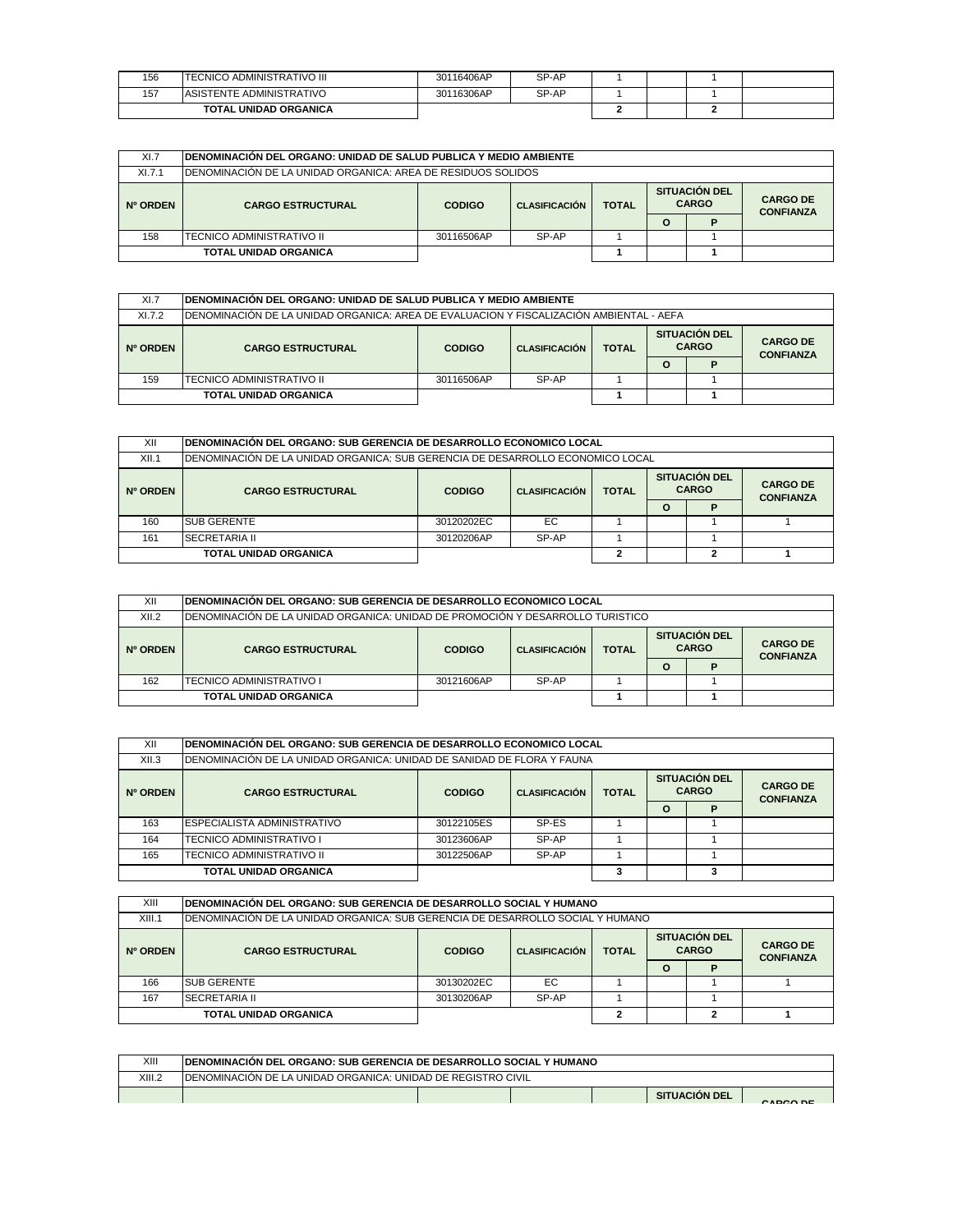| 156 | <b>TECNICO ADMINISTRATIVO III</b> | 30116406AP | SP-AP |  |  |
|-----|-----------------------------------|------------|-------|--|--|
| 157 | <b>ASISTENTE ADMINISTRATIVO</b>   | 30116306AP | SP-AP |  |  |
|     | <b>TOTAL UNIDAD ORGANICA</b>      |            |       |  |  |

| XI.7     | IDENOMINACIÓN DEL ORGANO: UNIDAD DE SALUD PUBLICA Y MEDIO AMBIENTE |                                                                                                                                      |  |  |   |  |  |  |  |  |
|----------|--------------------------------------------------------------------|--------------------------------------------------------------------------------------------------------------------------------------|--|--|---|--|--|--|--|--|
| X1.7.1   | IDENOMINACIÓN DE LA UNIDAD ORGANICA: AREA DE RESIDUOS SOLIDOS.     |                                                                                                                                      |  |  |   |  |  |  |  |  |
| Nº ORDEN | <b>CARGO ESTRUCTURAL</b>                                           | <b>SITUACIÓN DEL</b><br><b>CARGO DE</b><br><b>CARGO</b><br><b>CLASIFICACIÓN</b><br><b>TOTAL</b><br><b>CODIGO</b><br><b>CONFIANZA</b> |  |  |   |  |  |  |  |  |
|          |                                                                    |                                                                                                                                      |  |  | O |  |  |  |  |  |
| 158      | ITECNICO ADMINISTRATIVO II                                         | SP-AP<br>30116506AP                                                                                                                  |  |  |   |  |  |  |  |  |
|          | <b>TOTAL UNIDAD ORGANICA</b>                                       |                                                                                                                                      |  |  |   |  |  |  |  |  |

| XI.7     | <b>IDENOMINACIÓN DEL ORGANO: UNIDAD DE SALUD PUBLICA Y MEDIO AMBIENTE</b>                |                                       |       |  |   |              |  |                                      |  |  |                                     |
|----------|------------------------------------------------------------------------------------------|---------------------------------------|-------|--|---|--------------|--|--------------------------------------|--|--|-------------------------------------|
| X1.7.2   | IDENOMINACIÓN DE LA UNIDAD ORGANICA: AREA DE EVALUACION Y FISCALIZACIÓN AMBIENTAL - AEFA |                                       |       |  |   |              |  |                                      |  |  |                                     |
| Nº ORDEN | <b>CARGO ESTRUCTURAL</b>                                                                 | <b>CLASIFICACIÓN</b><br><b>CODIGO</b> |       |  |   | <b>TOTAL</b> |  | <b>SITUACIÓN DEL</b><br><b>CARGO</b> |  |  | <b>CARGO DE</b><br><b>CONFIANZA</b> |
|          |                                                                                          |                                       |       |  | O |              |  |                                      |  |  |                                     |
| 159      | <b>ITECNICO ADMINISTRATIVO II</b>                                                        | 30116506AP                            | SP-AP |  |   |              |  |                                      |  |  |                                     |
|          | <b>TOTAL UNIDAD ORGANICA</b>                                                             |                                       |       |  |   |              |  |                                      |  |  |                                     |

| XII      | IDENOMINACIÓN DEL ORGANO: SUB GERENCIA DE DESARROLLO ECONOMICO LOCAL            |                                                                                               |       |  |          |   |  |  |  |                                     |
|----------|---------------------------------------------------------------------------------|-----------------------------------------------------------------------------------------------|-------|--|----------|---|--|--|--|-------------------------------------|
| XII.1    | IDENOMINACIÓN DE LA UNIDAD ORGANICA: SUB GERENCIA DE DESARROLLO ECONOMICO LOCAL |                                                                                               |       |  |          |   |  |  |  |                                     |
| Nº ORDEN | <b>CARGO ESTRUCTURAL</b>                                                        | <b>SITUACIÓN DEL</b><br><b>CARGO</b><br><b>TOTAL</b><br><b>CODIGO</b><br><b>CLASIFICACIÓN</b> |       |  |          |   |  |  |  | <b>CARGO DE</b><br><b>CONFIANZA</b> |
|          |                                                                                 |                                                                                               |       |  | $\Omega$ | D |  |  |  |                                     |
| 160      | <b>ISUB GERENTE</b>                                                             | 30120202EC                                                                                    | EC    |  |          |   |  |  |  |                                     |
| 161      | <b>SECRETARIA II</b>                                                            | 30120206AP                                                                                    | SP-AP |  |          |   |  |  |  |                                     |
|          | <b>TOTAL UNIDAD ORGANICA</b>                                                    |                                                                                               |       |  |          |   |  |  |  |                                     |

| XII      | IDENOMINACIÓN DEL ORGANO: SUB GERENCIA DE DESARROLLO ECONOMICO LOCAL             |                                       |       |  |              |   |                                      |                                     |  |  |
|----------|----------------------------------------------------------------------------------|---------------------------------------|-------|--|--------------|---|--------------------------------------|-------------------------------------|--|--|
| XII.2    | IDENOMINACIÓN DE LA UNIDAD ORGANICA: UNIDAD DE PROMOCIÓN Y DESARROLLO TURISTICO. |                                       |       |  |              |   |                                      |                                     |  |  |
| Nº ORDEN | <b>CARGO ESTRUCTURAL</b>                                                         | <b>CLASIFICACIÓN</b><br><b>CODIGO</b> |       |  | <b>TOTAL</b> |   | <b>SITUACIÓN DEL</b><br><b>CARGO</b> | <b>CARGO DE</b><br><b>CONFIANZA</b> |  |  |
|          |                                                                                  |                                       |       |  | O            | D |                                      |                                     |  |  |
| 162      | ITECNICO ADMINISTRATIVO I                                                        | 30121606AP                            | SP-AP |  |              |   |                                      |                                     |  |  |
|          | <b>TOTAL UNIDAD ORGANICA</b>                                                     |                                       |       |  |              |   |                                      |                                     |  |  |

| XII      |                                                                         | IDENOMINACIÓN DEL ORGANO: SUB GERENCIA DE DESARROLLO ECONOMICO LOCAL |                                                                              |  |         |   |                                     |  |  |  |  |
|----------|-------------------------------------------------------------------------|----------------------------------------------------------------------|------------------------------------------------------------------------------|--|---------|---|-------------------------------------|--|--|--|--|
| XII.3    | IDENOMINACIÓN DE LA UNIDAD ORGANICA: UNIDAD DE SANIDAD DE FLORA Y FAUNA |                                                                      |                                                                              |  |         |   |                                     |  |  |  |  |
| Nº ORDEN | <b>CARGO ESTRUCTURAL</b>                                                | <b>CODIGO</b>                                                        | <b>SITUACIÓN DEL</b><br><b>CARGO</b><br><b>TOTAL</b><br><b>CLASIFICACIÓN</b> |  |         |   | <b>CARGO DE</b><br><b>CONFIANZA</b> |  |  |  |  |
|          |                                                                         |                                                                      |                                                                              |  | $\circ$ | D |                                     |  |  |  |  |
| 163      | <b>ESPECIALISTA ADMINISTRATIVO</b>                                      | 30122105ES                                                           | SP-ES                                                                        |  |         |   |                                     |  |  |  |  |
| 164      | <b>TECNICO ADMINISTRATIVO I</b>                                         | 30123606AP                                                           | SP-AP                                                                        |  |         |   |                                     |  |  |  |  |
| 165      | TECNICO ADMINISTRATIVO II                                               | SP-AP<br>30122506AP                                                  |                                                                              |  |         |   |                                     |  |  |  |  |
|          | TOTAL UNIDAD ORGANICA                                                   |                                                                      |                                                                              |  |         |   |                                     |  |  |  |  |

| XIII     | IDENOMINACIÓN DEL ORGANO: SUB GERENCIA DE DESARROLLO SOCIAL Y HUMANO           |                                                       |       |  |   |                                      |                                     |  |  |  |
|----------|--------------------------------------------------------------------------------|-------------------------------------------------------|-------|--|---|--------------------------------------|-------------------------------------|--|--|--|
| XIII.1   | DENOMINACIÓN DE LA UNIDAD ORGANICA: SUB GERENCIA DE DESARROLLO SOCIAL Y HUMANO |                                                       |       |  |   |                                      |                                     |  |  |  |
| Nº ORDEN | <b>CARGO ESTRUCTURAL</b>                                                       | <b>TOTAL</b><br><b>CODIGO</b><br><b>CLASIFICACIÓN</b> |       |  |   | <b>SITUACIÓN DEL</b><br><b>CARGO</b> | <b>CARGO DE</b><br><b>CONFIANZA</b> |  |  |  |
|          |                                                                                |                                                       |       |  | О |                                      |                                     |  |  |  |
| 166      | <b>ISUB GERENTE</b>                                                            | 30130202EC                                            | EC    |  |   |                                      |                                     |  |  |  |
|          |                                                                                |                                                       |       |  |   |                                      |                                     |  |  |  |
| 167      | <b>SECRETARIA II</b>                                                           | 30130206AP                                            | SP-AP |  |   |                                      |                                     |  |  |  |

| XIII   | <b>IDENOMINACIÓN DEL ORGANO: SUB GERENCIA DE DESARROLLO SOCIAL Y HUMANO</b> |  |                      |          |
|--------|-----------------------------------------------------------------------------|--|----------------------|----------|
| XIII.2 | <b>IDENOMINACIÓN DE LA UNIDAD ORGANICA: UNIDAD DE REGISTRO CIVIL</b>        |  |                      |          |
|        |                                                                             |  | <b>SITUACIÓN DEL</b> | CADCO DE |
|        |                                                                             |  |                      |          |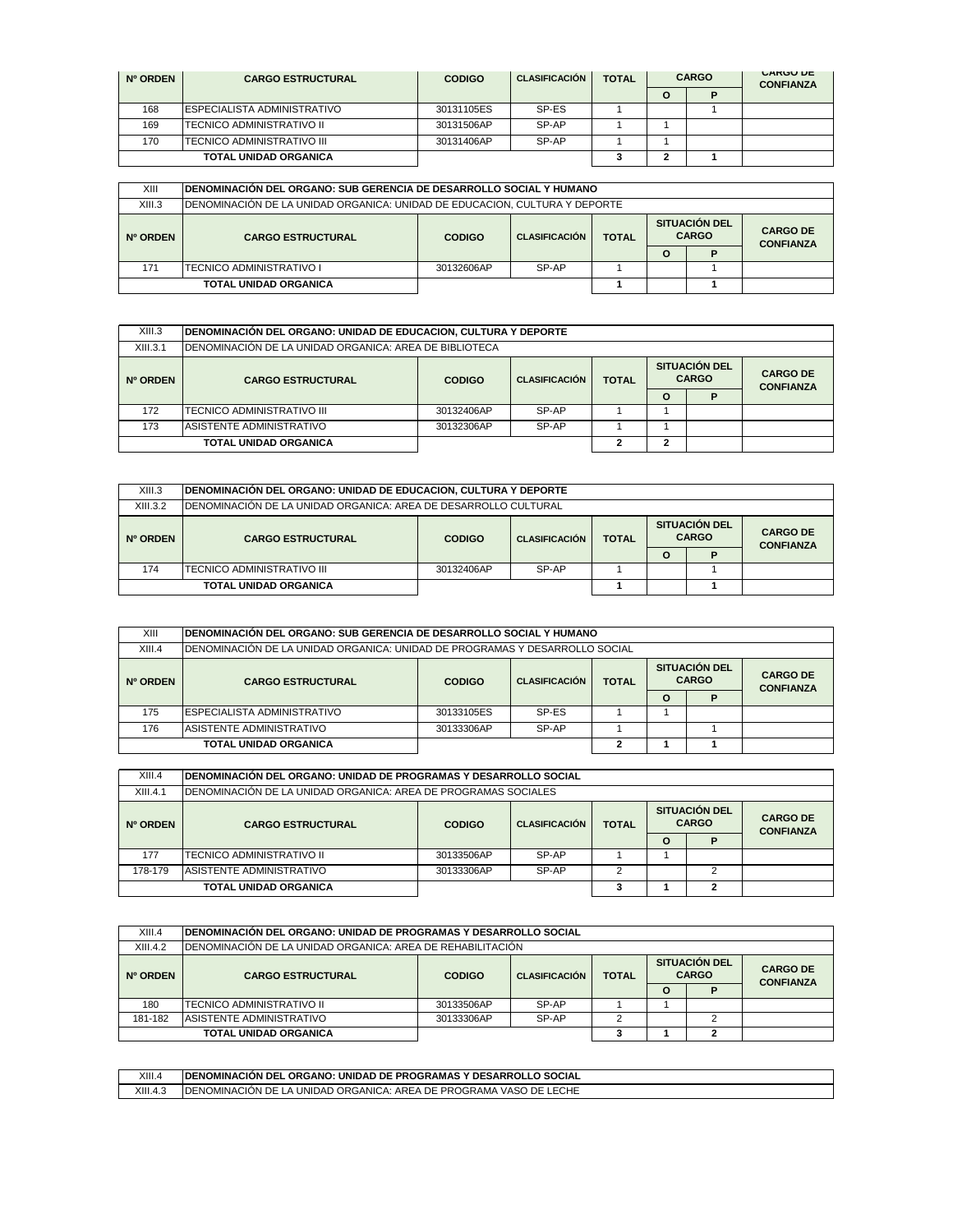| Nº ORDEN | <b>CARGO ESTRUCTURAL</b>           | <b>CODIGO</b> | <b>CLASIFICACIÓN</b> | <b>TOTAL</b> | <b>CARGO</b> |  | <b>UARGU DE</b><br><b>CONFIANZA</b> |
|----------|------------------------------------|---------------|----------------------|--------------|--------------|--|-------------------------------------|
|          |                                    |               |                      |              | O            |  |                                     |
| 168      | <b>ESPECIALISTA ADMINISTRATIVO</b> | 30131105ES    | SP-ES                |              |              |  |                                     |
| 169      | <b>ITECNICO ADMINISTRATIVO II</b>  | 30131506AP    | SP-AP                |              |              |  |                                     |
| 170      | <b>ITECNICO ADMINISTRATIVO III</b> | 30131406AP    | SP-AP                |              |              |  |                                     |
|          | <b>TOTAL UNIDAD ORGANICA</b>       |               |                      |              |              |  |                                     |

| XIII     | IDENOMINACIÓN DEL ORGANO: SUB GERENCIA DE DESARROLLO SOCIAL Y HUMANO        |               |                      |              |                                      |  |                                     |  |  |  |
|----------|-----------------------------------------------------------------------------|---------------|----------------------|--------------|--------------------------------------|--|-------------------------------------|--|--|--|
| XIII.3   | IDENOMINACIÓN DE LA UNIDAD ORGANICA: UNIDAD DE EDUCACION. CULTURA Y DEPORTE |               |                      |              |                                      |  |                                     |  |  |  |
| Nº ORDEN | <b>CARGO ESTRUCTURAL</b>                                                    | <b>CODIGO</b> | <b>CLASIFICACIÓN</b> | <b>TOTAL</b> | <b>SITUACIÓN DEL</b><br><b>CARGO</b> |  | <b>CARGO DE</b><br><b>CONFIANZA</b> |  |  |  |
|          |                                                                             |               |                      | O            |                                      |  |                                     |  |  |  |
| 171      | ITECNICO ADMINISTRATIVO I                                                   | 30132606AP    | SP-AP                |              |                                      |  |                                     |  |  |  |
|          | <b>TOTAL UNIDAD ORGANICA</b>                                                |               |                      |              |                                      |  |                                     |  |  |  |

| XIII.3   | DENOMINACIÓN DEL ORGANO: UNIDAD DE EDUCACION, CULTURA Y DEPORTE |                                       |       |              |   |                                      |                                     |  |  |
|----------|-----------------------------------------------------------------|---------------------------------------|-------|--------------|---|--------------------------------------|-------------------------------------|--|--|
| XIII.3.1 | IDENOMINACIÓN DE LA UNIDAD ORGANICA: AREA DE BIBLIOTECA         |                                       |       |              |   |                                      |                                     |  |  |
| Nº ORDEN | <b>CARGO ESTRUCTURAL</b>                                        | <b>CLASIFICACIÓN</b><br><b>CODIGO</b> |       | <b>TOTAL</b> |   | <b>SITUACIÓN DEL</b><br><b>CARGO</b> | <b>CARGO DE</b><br><b>CONFIANZA</b> |  |  |
|          |                                                                 |                                       |       |              | Ω |                                      |                                     |  |  |
| 172      | <b>ITECNICO ADMINISTRATIVO III</b>                              | 30132406AP                            | SP-AP |              |   |                                      |                                     |  |  |
| 173      | ASISTENTE ADMINISTRATIVO                                        | 30132306AP                            | SP-AP |              |   |                                      |                                     |  |  |
|          | <b>TOTAL UNIDAD ORGANICA</b>                                    |                                       |       | ◠            | ◠ |                                      |                                     |  |  |

| XIII.3   | DENOMINACIÓN DEL ORGANO: UNIDAD DE EDUCACION, CULTURA Y DEPORTE  |               |                      |              |                                      |  |                                     |  |  |  |
|----------|------------------------------------------------------------------|---------------|----------------------|--------------|--------------------------------------|--|-------------------------------------|--|--|--|
| XIII.3.2 | IDENOMINACIÓN DE LA UNIDAD ORGANICA: AREA DE DESARROLLO CULTURAL |               |                      |              |                                      |  |                                     |  |  |  |
| Nº ORDEN | <b>CARGO ESTRUCTURAL</b>                                         | <b>CODIGO</b> | <b>CLASIFICACIÓN</b> | <b>TOTAL</b> | <b>SITUACIÓN DEL</b><br><b>CARGO</b> |  | <b>CARGO DE</b><br><b>CONFIANZA</b> |  |  |  |
|          |                                                                  |               |                      |              | $\Omega$                             |  |                                     |  |  |  |
| 174      | ITECNICO ADMINISTRATIVO III                                      | 30132406AP    | SP-AP                |              |                                      |  |                                     |  |  |  |
|          | <b>TOTAL UNIDAD ORGANICA</b>                                     |               |                      |              |                                      |  |                                     |  |  |  |

| XIII     | IDENOMINACIÓN DEL ORGANO: SUB GERENCIA DE DESARROLLO SOCIAL Y HUMANO         |                     |                                      |  |          |   |                                      |  |  |                                     |
|----------|------------------------------------------------------------------------------|---------------------|--------------------------------------|--|----------|---|--------------------------------------|--|--|-------------------------------------|
| XIII.4   | IDENOMINACIÓN DE LA UNIDAD ORGANICA: UNIDAD DE PROGRAMAS Y DESARROLLO SOCIAL |                     |                                      |  |          |   |                                      |  |  |                                     |
| Nº ORDEN | <b>CARGO ESTRUCTURAL</b>                                                     | <b>CODIGO</b>       | <b>CLASIFICACIÓN</b><br><b>TOTAL</b> |  |          |   | <b>SITUACIÓN DEL</b><br><b>CARGO</b> |  |  | <b>CARGO DE</b><br><b>CONFIANZA</b> |
|          |                                                                              |                     |                                      |  | $\Omega$ | P |                                      |  |  |                                     |
| 175      | <b>ESPECIALISTA ADMINISTRATIVO</b>                                           | 30133105ES          | SP-ES                                |  |          |   |                                      |  |  |                                     |
| 176      | ASISTENTE ADMINISTRATIVO                                                     | SP-AP<br>30133306AP |                                      |  |          |   |                                      |  |  |                                     |
|          | <b>TOTAL UNIDAD ORGANICA</b>                                                 |                     |                                      |  |          |   |                                      |  |  |                                     |

| XIII.4   | IDENOMINACIÓN DEL ORGANO: UNIDAD DE PROGRAMAS Y DESARROLLO SOCIAL |                                                       |       |   |   |                                      |                                     |  |  |
|----------|-------------------------------------------------------------------|-------------------------------------------------------|-------|---|---|--------------------------------------|-------------------------------------|--|--|
| XIII.4.1 | IDENOMINACIÓN DE LA UNIDAD ORGANICA: AREA DE PROGRAMAS SOCIALES   |                                                       |       |   |   |                                      |                                     |  |  |
| Nº ORDEN | <b>CARGO ESTRUCTURAL</b>                                          | <b>CLASIFICACIÓN</b><br><b>TOTAL</b><br><b>CODIGO</b> |       |   |   | <b>SITUACIÓN DEL</b><br><b>CARGO</b> | <b>CARGO DE</b><br><b>CONFIANZA</b> |  |  |
|          |                                                                   |                                                       |       |   | O |                                      |                                     |  |  |
| 177      | TECNICO ADMINISTRATIVO II                                         | 30133506AP                                            | SP-AP |   |   |                                      |                                     |  |  |
| 178-179  | ASISTENTE ADMINISTRATIVO                                          | 30133306AP                                            | SP-AP | ◠ |   |                                      |                                     |  |  |
|          | TOTAL UNIDAD ORGANICA                                             |                                                       |       |   |   | 2                                    |                                     |  |  |

| XIII.4                       | IDENOMINACIÓN DEL ORGANO: UNIDAD DE PROGRAMAS Y DESARROLLO SOCIAL |               |                      |              |                                      |  |  |                                     |  |
|------------------------------|-------------------------------------------------------------------|---------------|----------------------|--------------|--------------------------------------|--|--|-------------------------------------|--|
| XIII.4.2                     | IDENOMINACIÓN DE LA UNIDAD ORGANICA: AREA DE REHABILITACIÓN.      |               |                      |              |                                      |  |  |                                     |  |
| Nº ORDEN                     | <b>CARGO ESTRUCTURAL</b>                                          | <b>CODIGO</b> | <b>CLASIFICACIÓN</b> | <b>TOTAL</b> | <b>SITUACIÓN DEL</b><br><b>CARGO</b> |  |  | <b>CARGO DE</b><br><b>CONFIANZA</b> |  |
|                              |                                                                   |               |                      |              | O                                    |  |  |                                     |  |
| 180                          | ITECNICO ADMINISTRATIVO II                                        | 30133506AP    | SP-AP                |              |                                      |  |  |                                     |  |
| 181-182                      | ASISTENTE ADMINISTRATIVO                                          | 30133306AP    | SP-AP                |              |                                      |  |  |                                     |  |
| <b>TOTAL UNIDAD ORGANICA</b> |                                                                   |               |                      |              |                                      |  |  |                                     |  |

| XIII.4   | <b>SOCIAL</b><br><b>IDENOMINACIÓN DEL</b><br>. UNIDAD DE PROGRAMAS '<br><b>ORGANO:</b><br>V DESARROLL.            |
|----------|-------------------------------------------------------------------------------------------------------------------|
| XIII.4.3 | LECHE<br><b>IDENOMINACIÓN DE</b><br>U DE L'<br>۱DE F<br>: LA UNIDAD ORGANICA: AREA I<br>E PROGRAMA<br><b>VASC</b> |